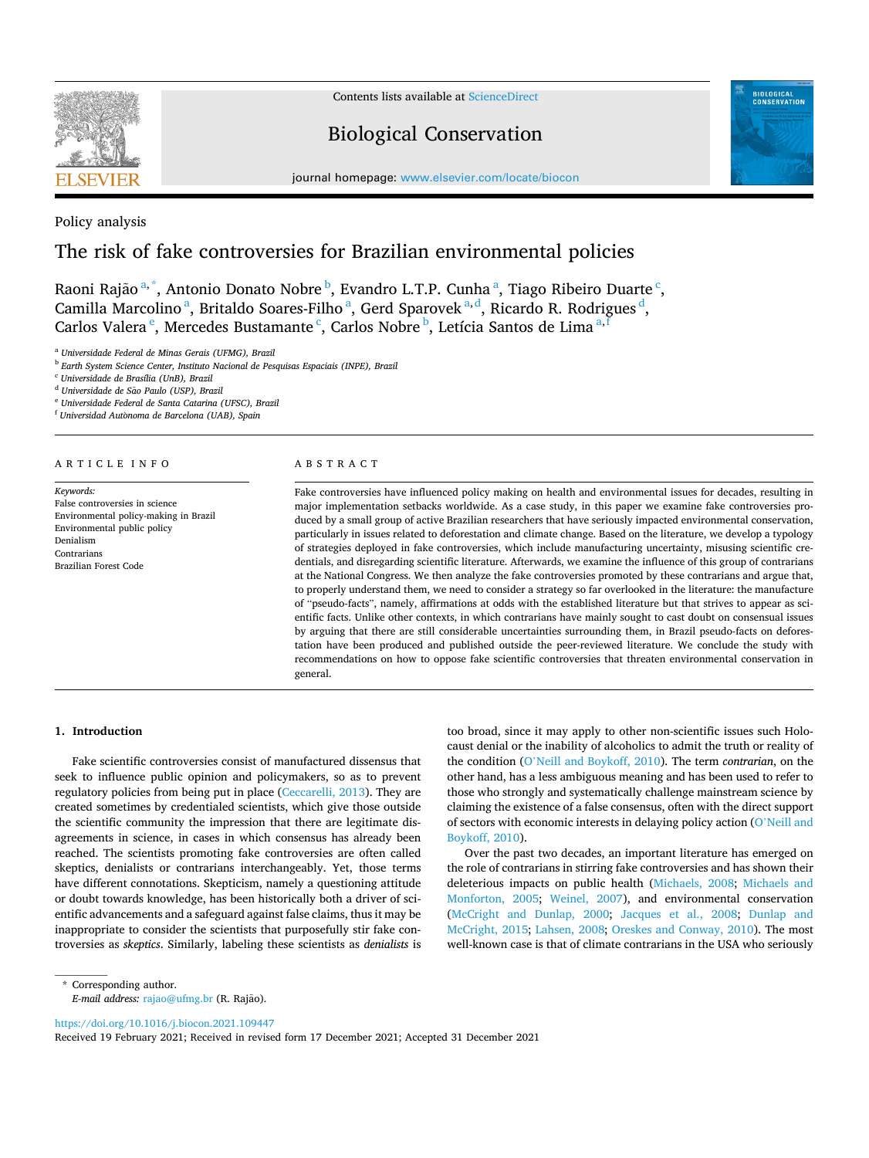

Contents lists available at [ScienceDirect](www.sciencedirect.com/science/journal/00063207)

# Biological Conservation



journal homepage: [www.elsevier.com/locate/biocon](https://www.elsevier.com/locate/biocon)

Policy analysis

# The risk of fake controversies for Brazilian environmental policies

Raoni Rajão $^{\mathrm{a},\mathrm{*}}$ , Antonio Donato Nobre $^{\mathrm{b}}$ , Evandro L.T.P. Cunha $^{\mathrm{a}}$ , Tiago Ribeiro Duarte $^{\mathrm{c}}$ , Camilla Marcolino<sup>a</sup>, Britaldo Soares-Filho<sup>a</sup>, Gerd Sparovek<sup>a,d</sup>, Ricardo R. Rodrigues<sup>d</sup>, Carlos Valera <sup>e</sup>, Mercedes Bustamante <sup>c</sup>, Carlos Nobre <sup>b</sup>, Letícia Santos de Lima <sup>a, f</sup>

<sup>a</sup> *Universidade Federal de Minas Gerais (UFMG), Brazil* 

<sup>b</sup> *Earth System Science Center, Instituto Nacional de Pesquisas Espaciais (INPE), Brazil* 

<sup>c</sup> *Universidade de Brasília (UnB), Brazil* 

<sup>d</sup> Universidade de São Paulo (USP), Brazil

<sup>e</sup> *Universidade Federal de Santa Catarina (UFSC), Brazil* 

<sup>f</sup> Universidad Autònoma de Barcelona (UAB), Spain

#### ARTICLE INFO

*Keywords:*  False controversies in science Environmental policy-making in Brazil Environmental public policy Denialism **Contrarians** Brazilian Forest Code

#### ABSTRACT

Fake controversies have influenced policy making on health and environmental issues for decades, resulting in major implementation setbacks worldwide. As a case study, in this paper we examine fake controversies produced by a small group of active Brazilian researchers that have seriously impacted environmental conservation, particularly in issues related to deforestation and climate change. Based on the literature, we develop a typology of strategies deployed in fake controversies, which include manufacturing uncertainty, misusing scientific credentials, and disregarding scientific literature. Afterwards, we examine the influence of this group of contrarians at the National Congress. We then analyze the fake controversies promoted by these contrarians and argue that, to properly understand them, we need to consider a strategy so far overlooked in the literature: the manufacture of "pseudo-facts", namely, affirmations at odds with the established literature but that strives to appear as scientific facts. Unlike other contexts, in which contrarians have mainly sought to cast doubt on consensual issues by arguing that there are still considerable uncertainties surrounding them, in Brazil pseudo-facts on deforestation have been produced and published outside the peer-reviewed literature. We conclude the study with recommendations on how to oppose fake scientific controversies that threaten environmental conservation in general.

# **1. Introduction**

Fake scientific controversies consist of manufactured dissensus that seek to influence public opinion and policymakers, so as to prevent regulatory policies from being put in place [\(Ceccarelli, 2013](#page-8-0)). They are created sometimes by credentialed scientists, which give those outside the scientific community the impression that there are legitimate disagreements in science, in cases in which consensus has already been reached. The scientists promoting fake controversies are often called skeptics, denialists or contrarians interchangeably. Yet, those terms have different connotations. Skepticism, namely a questioning attitude or doubt towards knowledge, has been historically both a driver of scientific advancements and a safeguard against false claims, thus it may be inappropriate to consider the scientists that purposefully stir fake controversies as *skeptics*. Similarly, labeling these scientists as *denialists* is too broad, since it may apply to other non-scientific issues such Holocaust denial or the inability of alcoholics to admit the truth or reality of the condition (O'[Neill and Boykoff, 2010\)](#page-9-0). The term *contrarian*, on the other hand, has a less ambiguous meaning and has been used to refer to those who strongly and systematically challenge mainstream science by claiming the existence of a false consensus, often with the direct support of sectors with economic interests in delaying policy action (O'[Neill and](#page-9-0)  [Boykoff, 2010](#page-9-0)).

Over the past two decades, an important literature has emerged on the role of contrarians in stirring fake controversies and has shown their deleterious impacts on public health [\(Michaels, 2008](#page-9-0); [Michaels and](#page-9-0)  [Monforton, 2005;](#page-9-0) [Weinel, 2007](#page-10-0)), and environmental conservation ([McCright and Dunlap, 2000;](#page-9-0) [Jacques et al., 2008;](#page-8-0) [Dunlap and](#page-8-0)  [McCright, 2015](#page-8-0); [Lahsen, 2008;](#page-9-0) [Oreskes and Conway, 2010\)](#page-9-0). The most well-known case is that of climate contrarians in the USA who seriously

<https://doi.org/10.1016/j.biocon.2021.109447>

Received 19 February 2021; Received in revised form 17 December 2021; Accepted 31 December 2021

<sup>\*</sup> Corresponding author. *E-mail address: [rajao@ufmg.br](mailto:rajao@ufmg.br) (R. Rajão).*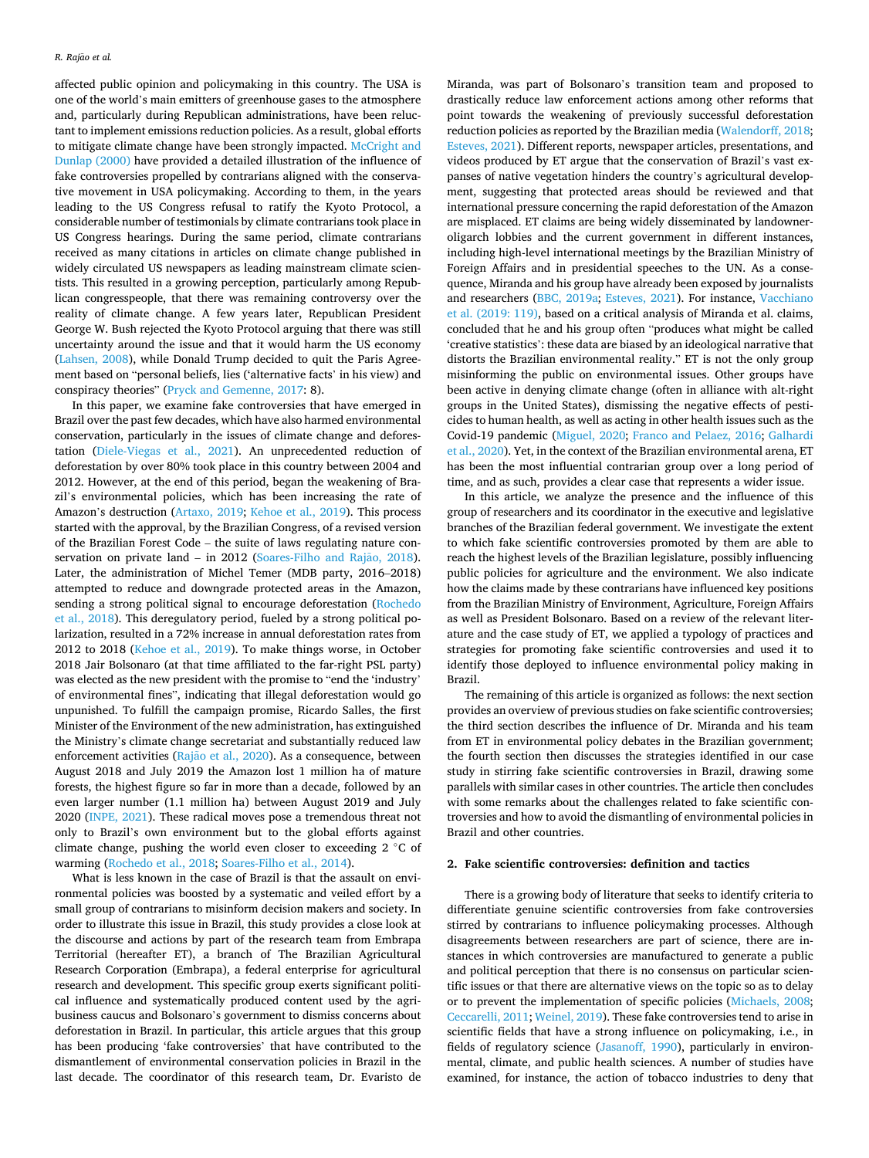affected public opinion and policymaking in this country. The USA is one of the world's main emitters of greenhouse gases to the atmosphere and, particularly during Republican administrations, have been reluctant to implement emissions reduction policies. As a result, global efforts to mitigate climate change have been strongly impacted. McCright and [Dunlap \(2000\)](#page-9-0) have provided a detailed illustration of the influence of fake controversies propelled by contrarians aligned with the conservative movement in USA policymaking. According to them, in the years leading to the US Congress refusal to ratify the Kyoto Protocol, a considerable number of testimonials by climate contrarians took place in US Congress hearings. During the same period, climate contrarians received as many citations in articles on climate change published in widely circulated US newspapers as leading mainstream climate scientists. This resulted in a growing perception, particularly among Republican congresspeople, that there was remaining controversy over the reality of climate change. A few years later, Republican President George W. Bush rejected the Kyoto Protocol arguing that there was still uncertainty around the issue and that it would harm the US economy ([Lahsen, 2008](#page-9-0)), while Donald Trump decided to quit the Paris Agreement based on "personal beliefs, lies ('alternative facts' in his view) and conspiracy theories" ([Pryck and Gemenne, 2017](#page-9-0): 8).

In this paper, we examine fake controversies that have emerged in Brazil over the past few decades, which have also harmed environmental conservation, particularly in the issues of climate change and deforestation [\(Diele-Viegas et al., 2021\)](#page-8-0). An unprecedented reduction of deforestation by over 80% took place in this country between 2004 and 2012. However, at the end of this period, began the weakening of Brazil's environmental policies, which has been increasing the rate of Amazon's destruction [\(Artaxo, 2019;](#page-8-0) [Kehoe et al., 2019](#page-9-0)). This process started with the approval, by the Brazilian Congress, of a revised version of the Brazilian Forest Code – the suite of laws regulating nature conservation on private land – in 2012 (Soares-Filho and Rajão, 2018). Later, the administration of Michel Temer (MDB party, 2016–2018) attempted to reduce and downgrade protected areas in the Amazon, sending a strong political signal to encourage deforestation [\(Rochedo](#page-9-0)  [et al., 2018](#page-9-0)). This deregulatory period, fueled by a strong political polarization, resulted in a 72% increase in annual deforestation rates from 2012 to 2018 [\(Kehoe et al., 2019](#page-9-0)). To make things worse, in October 2018 Jair Bolsonaro (at that time affiliated to the far-right PSL party) was elected as the new president with the promise to "end the 'industry' of environmental fines", indicating that illegal deforestation would go unpunished. To fulfill the campaign promise, Ricardo Salles, the first Minister of the Environment of the new administration, has extinguished the Ministry's climate change secretariat and substantially reduced law enforcement activities (Rajão [et al., 2020](#page-9-0)). As a consequence, between August 2018 and July 2019 the Amazon lost 1 million ha of mature forests, the highest figure so far in more than a decade, followed by an even larger number (1.1 million ha) between August 2019 and July 2020 [\(INPE, 2021\)](#page-8-0). These radical moves pose a tremendous threat not only to Brazil's own environment but to the global efforts against climate change, pushing the world even closer to exceeding 2 ◦C of warming [\(Rochedo et al., 2018](#page-9-0); [Soares-Filho et al., 2014\)](#page-9-0).

What is less known in the case of Brazil is that the assault on environmental policies was boosted by a systematic and veiled effort by a small group of contrarians to misinform decision makers and society. In order to illustrate this issue in Brazil, this study provides a close look at the discourse and actions by part of the research team from Embrapa Territorial (hereafter ET), a branch of The Brazilian Agricultural Research Corporation (Embrapa), a federal enterprise for agricultural research and development. This specific group exerts significant political influence and systematically produced content used by the agribusiness caucus and Bolsonaro's government to dismiss concerns about deforestation in Brazil. In particular, this article argues that this group has been producing 'fake controversies' that have contributed to the dismantlement of environmental conservation policies in Brazil in the last decade. The coordinator of this research team, Dr. Evaristo de

Miranda, was part of Bolsonaro's transition team and proposed to drastically reduce law enforcement actions among other reforms that point towards the weakening of previously successful deforestation reduction policies as reported by the Brazilian media [\(Walendorff, 2018](#page-10-0); [Esteves, 2021\)](#page-8-0). Different reports, newspaper articles, presentations, and videos produced by ET argue that the conservation of Brazil's vast expanses of native vegetation hinders the country's agricultural development, suggesting that protected areas should be reviewed and that international pressure concerning the rapid deforestation of the Amazon are misplaced. ET claims are being widely disseminated by landowneroligarch lobbies and the current government in different instances, including high-level international meetings by the Brazilian Ministry of Foreign Affairs and in presidential speeches to the UN. As a consequence, Miranda and his group have already been exposed by journalists and researchers [\(BBC, 2019a](#page-8-0); [Esteves, 2021](#page-8-0)). For instance, [Vacchiano](#page-10-0)  [et al. \(2019: 119\),](#page-10-0) based on a critical analysis of Miranda et al. claims, concluded that he and his group often "produces what might be called 'creative statistics': these data are biased by an ideological narrative that distorts the Brazilian environmental reality." ET is not the only group misinforming the public on environmental issues. Other groups have been active in denying climate change (often in alliance with alt-right groups in the United States), dismissing the negative effects of pesticides to human health, as well as acting in other health issues such as the Covid-19 pandemic [\(Miguel, 2020;](#page-9-0) [Franco and Pelaez, 2016](#page-8-0); [Galhardi](#page-8-0)  [et al., 2020](#page-8-0)). Yet, in the context of the Brazilian environmental arena, ET has been the most influential contrarian group over a long period of time, and as such, provides a clear case that represents a wider issue.

In this article, we analyze the presence and the influence of this group of researchers and its coordinator in the executive and legislative branches of the Brazilian federal government. We investigate the extent to which fake scientific controversies promoted by them are able to reach the highest levels of the Brazilian legislature, possibly influencing public policies for agriculture and the environment. We also indicate how the claims made by these contrarians have influenced key positions from the Brazilian Ministry of Environment, Agriculture, Foreign Affairs as well as President Bolsonaro. Based on a review of the relevant literature and the case study of ET, we applied a typology of practices and strategies for promoting fake scientific controversies and used it to identify those deployed to influence environmental policy making in Brazil.

The remaining of this article is organized as follows: the next section provides an overview of previous studies on fake scientific controversies; the third section describes the influence of Dr. Miranda and his team from ET in environmental policy debates in the Brazilian government; the fourth section then discusses the strategies identified in our case study in stirring fake scientific controversies in Brazil, drawing some parallels with similar cases in other countries. The article then concludes with some remarks about the challenges related to fake scientific controversies and how to avoid the dismantling of environmental policies in Brazil and other countries.

## **2. Fake scientific controversies: definition and tactics**

There is a growing body of literature that seeks to identify criteria to differentiate genuine scientific controversies from fake controversies stirred by contrarians to influence policymaking processes. Although disagreements between researchers are part of science, there are instances in which controversies are manufactured to generate a public and political perception that there is no consensus on particular scientific issues or that there are alternative views on the topic so as to delay or to prevent the implementation of specific policies [\(Michaels, 2008](#page-9-0); [Ceccarelli, 2011;](#page-8-0) [Weinel, 2019](#page-10-0)). These fake controversies tend to arise in scientific fields that have a strong influence on policymaking, i.e., in fields of regulatory science [\(Jasanoff, 1990](#page-8-0)), particularly in environmental, climate, and public health sciences. A number of studies have examined, for instance, the action of tobacco industries to deny that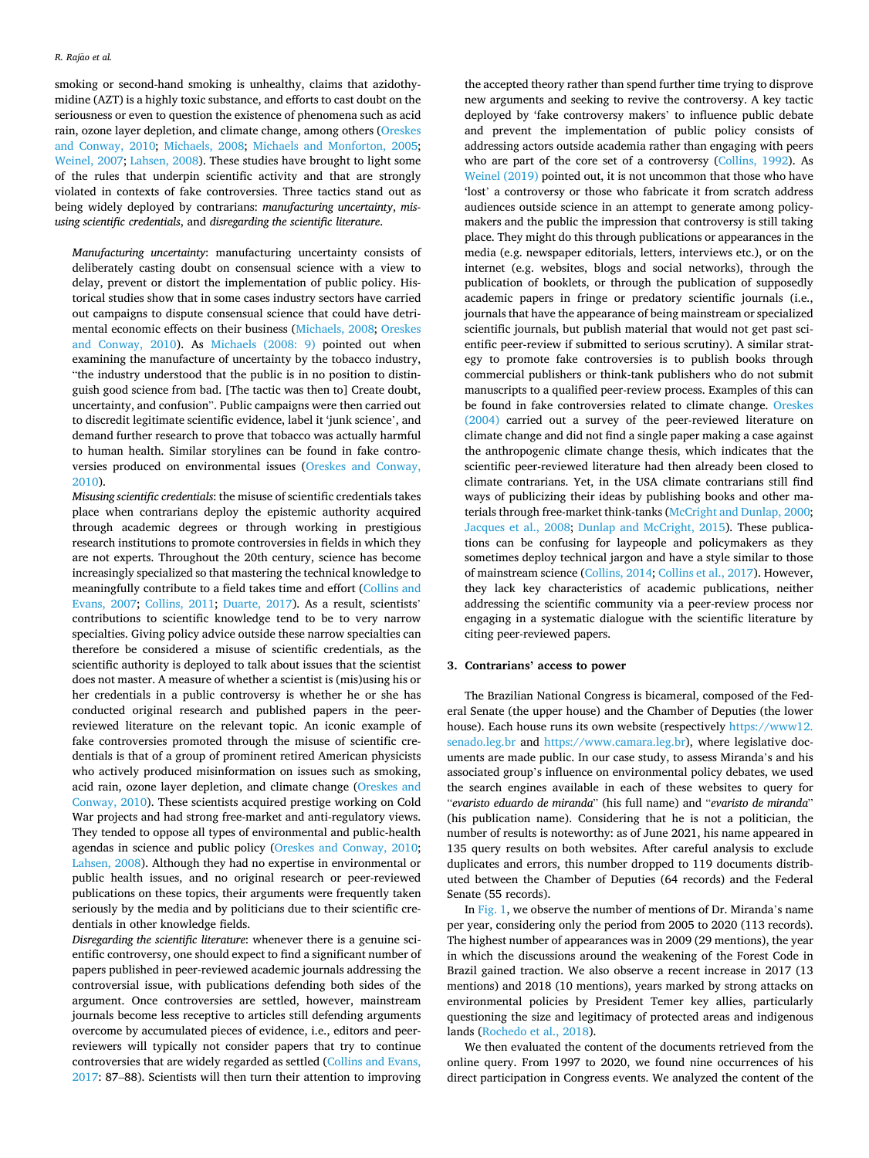smoking or second-hand smoking is unhealthy, claims that azidothymidine (AZT) is a highly toxic substance, and efforts to cast doubt on the seriousness or even to question the existence of phenomena such as acid rain, ozone layer depletion, and climate change, among others [\(Oreskes](#page-9-0)  [and Conway, 2010;](#page-9-0) [Michaels, 2008;](#page-9-0) [Michaels and Monforton, 2005](#page-9-0); [Weinel, 2007;](#page-10-0) [Lahsen, 2008](#page-9-0)). These studies have brought to light some of the rules that underpin scientific activity and that are strongly violated in contexts of fake controversies. Three tactics stand out as being widely deployed by contrarians: *manufacturing uncertainty*, *misusing scientific credentials*, and *disregarding the scientific literature*.

*Manufacturing uncertainty*: manufacturing uncertainty consists of deliberately casting doubt on consensual science with a view to delay, prevent or distort the implementation of public policy. Historical studies show that in some cases industry sectors have carried out campaigns to dispute consensual science that could have detrimental economic effects on their business ([Michaels, 2008; Oreskes](#page-9-0)  [and Conway, 2010](#page-9-0)). As [Michaels \(2008: 9\)](#page-9-0) pointed out when examining the manufacture of uncertainty by the tobacco industry, "the industry understood that the public is in no position to distinguish good science from bad. [The tactic was then to] Create doubt, uncertainty, and confusion". Public campaigns were then carried out to discredit legitimate scientific evidence, label it 'junk science', and demand further research to prove that tobacco was actually harmful to human health. Similar storylines can be found in fake controversies produced on environmental issues ([Oreskes and Conway,](#page-9-0)  [2010\)](#page-9-0).

*Misusing scientific credentials*: the misuse of scientific credentials takes place when contrarians deploy the epistemic authority acquired through academic degrees or through working in prestigious research institutions to promote controversies in fields in which they are not experts. Throughout the 20th century, science has become increasingly specialized so that mastering the technical knowledge to meaningfully contribute to a field takes time and effort [\(Collins and](#page-8-0)  [Evans, 2007;](#page-8-0) [Collins, 2011](#page-8-0); [Duarte, 2017](#page-8-0)). As a result, scientists' contributions to scientific knowledge tend to be to very narrow specialties. Giving policy advice outside these narrow specialties can therefore be considered a misuse of scientific credentials, as the scientific authority is deployed to talk about issues that the scientist does not master. A measure of whether a scientist is (mis)using his or her credentials in a public controversy is whether he or she has conducted original research and published papers in the peerreviewed literature on the relevant topic. An iconic example of fake controversies promoted through the misuse of scientific credentials is that of a group of prominent retired American physicists who actively produced misinformation on issues such as smoking, acid rain, ozone layer depletion, and climate change [\(Oreskes and](#page-9-0)  [Conway, 2010\)](#page-9-0). These scientists acquired prestige working on Cold War projects and had strong free-market and anti-regulatory views. They tended to oppose all types of environmental and public-health agendas in science and public policy [\(Oreskes and Conway, 2010](#page-9-0); [Lahsen, 2008\)](#page-9-0). Although they had no expertise in environmental or public health issues, and no original research or peer-reviewed publications on these topics, their arguments were frequently taken seriously by the media and by politicians due to their scientific credentials in other knowledge fields.

*Disregarding the scientific literature*: whenever there is a genuine scientific controversy, one should expect to find a significant number of papers published in peer-reviewed academic journals addressing the controversial issue, with publications defending both sides of the argument. Once controversies are settled, however, mainstream journals become less receptive to articles still defending arguments overcome by accumulated pieces of evidence, i.e., editors and peerreviewers will typically not consider papers that try to continue controversies that are widely regarded as settled [\(Collins and Evans,](#page-8-0)  [2017:](#page-8-0) 87–88). Scientists will then turn their attention to improving

the accepted theory rather than spend further time trying to disprove new arguments and seeking to revive the controversy. A key tactic deployed by 'fake controversy makers' to influence public debate and prevent the implementation of public policy consists of addressing actors outside academia rather than engaging with peers who are part of the core set of a controversy ([Collins, 1992](#page-8-0)). As [Weinel \(2019\)](#page-10-0) pointed out, it is not uncommon that those who have 'lost' a controversy or those who fabricate it from scratch address audiences outside science in an attempt to generate among policymakers and the public the impression that controversy is still taking place. They might do this through publications or appearances in the media (e.g. newspaper editorials, letters, interviews etc.), or on the internet (e.g. websites, blogs and social networks), through the publication of booklets, or through the publication of supposedly academic papers in fringe or predatory scientific journals (i.e., journals that have the appearance of being mainstream or specialized scientific journals, but publish material that would not get past scientific peer-review if submitted to serious scrutiny). A similar strategy to promote fake controversies is to publish books through commercial publishers or think-tank publishers who do not submit manuscripts to a qualified peer-review process. Examples of this can be found in fake controversies related to climate change. [Oreskes](#page-9-0)  [\(2004\)](#page-9-0) carried out a survey of the peer-reviewed literature on climate change and did not find a single paper making a case against the anthropogenic climate change thesis, which indicates that the scientific peer-reviewed literature had then already been closed to climate contrarians. Yet, in the USA climate contrarians still find ways of publicizing their ideas by publishing books and other materials through free-market think-tanks ([McCright and Dunlap, 2000](#page-9-0); [Jacques et al., 2008](#page-8-0); [Dunlap and McCright, 2015](#page-8-0)). These publications can be confusing for laypeople and policymakers as they sometimes deploy technical jargon and have a style similar to those of mainstream science [\(Collins, 2014](#page-8-0); [Collins et al., 2017\)](#page-8-0). However, they lack key characteristics of academic publications, neither addressing the scientific community via a peer-review process nor engaging in a systematic dialogue with the scientific literature by citing peer-reviewed papers.

# **3. Contrarians' access to power**

The Brazilian National Congress is bicameral, composed of the Federal Senate (the upper house) and the Chamber of Deputies (the lower house). Each house runs its own website (respectively [https://www12.](https://www12.senado.leg.br)  [senado.leg.br](https://www12.senado.leg.br) and <https://www.camara.leg.br>), where legislative documents are made public. In our case study, to assess Miranda's and his associated group's influence on environmental policy debates, we used the search engines available in each of these websites to query for "*evaristo eduardo de miranda*" (his full name) and "*evaristo de miranda*" (his publication name). Considering that he is not a politician, the number of results is noteworthy: as of June 2021, his name appeared in 135 query results on both websites. After careful analysis to exclude duplicates and errors, this number dropped to 119 documents distributed between the Chamber of Deputies (64 records) and the Federal Senate (55 records).

In [Fig. 1](#page-3-0), we observe the number of mentions of Dr. Miranda's name per year, considering only the period from 2005 to 2020 (113 records). The highest number of appearances was in 2009 (29 mentions), the year in which the discussions around the weakening of the Forest Code in Brazil gained traction. We also observe a recent increase in 2017 (13 mentions) and 2018 (10 mentions), years marked by strong attacks on environmental policies by President Temer key allies, particularly questioning the size and legitimacy of protected areas and indigenous lands ([Rochedo et al., 2018\)](#page-9-0).

We then evaluated the content of the documents retrieved from the online query. From 1997 to 2020, we found nine occurrences of his direct participation in Congress events. We analyzed the content of the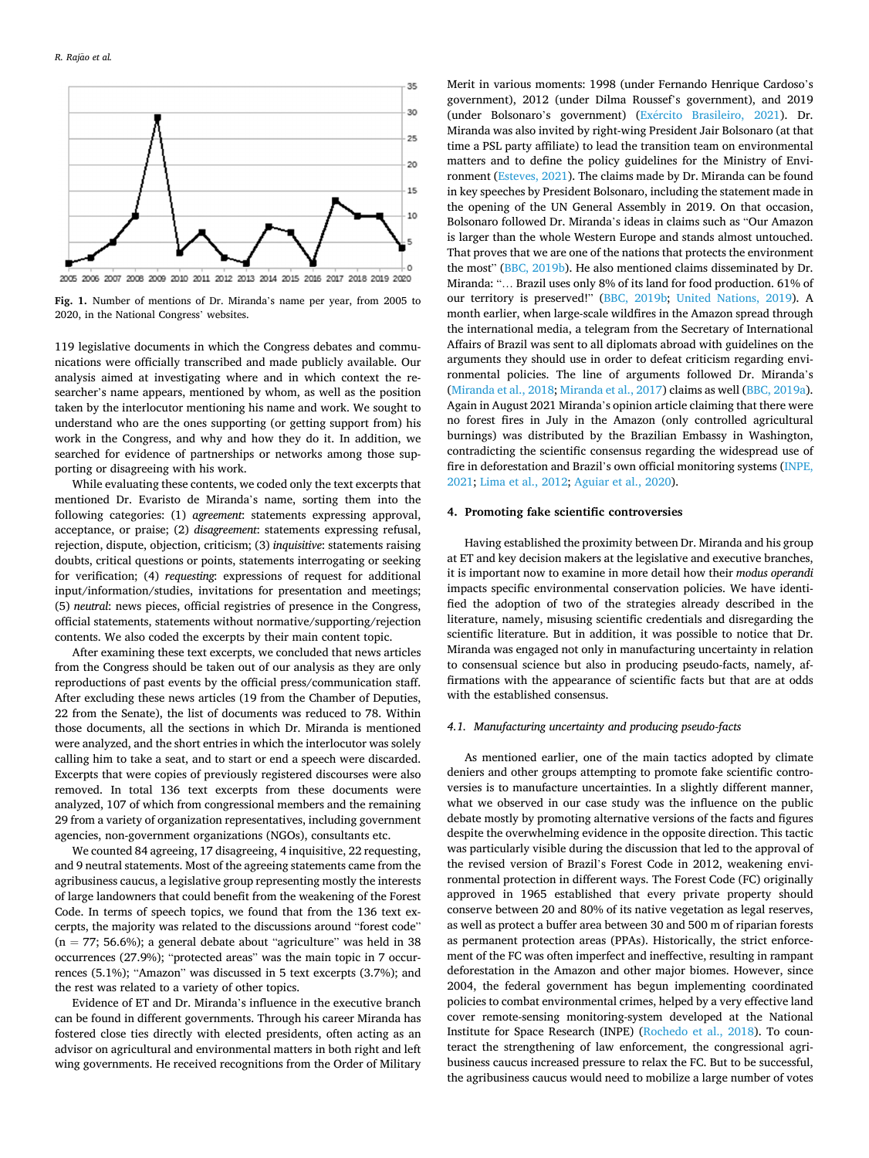<span id="page-3-0"></span>

**Fig. 1.** Number of mentions of Dr. Miranda's name per year, from 2005 to 2020, in the National Congress' websites.

119 legislative documents in which the Congress debates and communications were officially transcribed and made publicly available. Our analysis aimed at investigating where and in which context the researcher's name appears, mentioned by whom, as well as the position taken by the interlocutor mentioning his name and work. We sought to understand who are the ones supporting (or getting support from) his work in the Congress, and why and how they do it. In addition, we searched for evidence of partnerships or networks among those supporting or disagreeing with his work.

While evaluating these contents, we coded only the text excerpts that mentioned Dr. Evaristo de Miranda's name, sorting them into the following categories: (1) *agreement*: statements expressing approval, acceptance, or praise; (2) *disagreement*: statements expressing refusal, rejection, dispute, objection, criticism; (3) *inquisitive*: statements raising doubts, critical questions or points, statements interrogating or seeking for verification; (4) *requesting*: expressions of request for additional input/information/studies, invitations for presentation and meetings; (5) *neutral*: news pieces, official registries of presence in the Congress, official statements, statements without normative/supporting/rejection contents. We also coded the excerpts by their main content topic.

After examining these text excerpts, we concluded that news articles from the Congress should be taken out of our analysis as they are only reproductions of past events by the official press/communication staff. After excluding these news articles (19 from the Chamber of Deputies, 22 from the Senate), the list of documents was reduced to 78. Within those documents, all the sections in which Dr. Miranda is mentioned were analyzed, and the short entries in which the interlocutor was solely calling him to take a seat, and to start or end a speech were discarded. Excerpts that were copies of previously registered discourses were also removed. In total 136 text excerpts from these documents were analyzed, 107 of which from congressional members and the remaining 29 from a variety of organization representatives, including government agencies, non-government organizations (NGOs), consultants etc.

We counted 84 agreeing, 17 disagreeing, 4 inquisitive, 22 requesting, and 9 neutral statements. Most of the agreeing statements came from the agribusiness caucus, a legislative group representing mostly the interests of large landowners that could benefit from the weakening of the Forest Code. In terms of speech topics, we found that from the 136 text excerpts, the majority was related to the discussions around "forest code"  $(n = 77; 56.6\%)$ ; a general debate about "agriculture" was held in 38 occurrences (27.9%); "protected areas" was the main topic in 7 occurrences (5.1%); "Amazon" was discussed in 5 text excerpts (3.7%); and the rest was related to a variety of other topics.

Evidence of ET and Dr. Miranda's influence in the executive branch can be found in different governments. Through his career Miranda has fostered close ties directly with elected presidents, often acting as an advisor on agricultural and environmental matters in both right and left wing governments. He received recognitions from the Order of Military

Merit in various moments: 1998 (under Fernando Henrique Cardoso's government), 2012 (under Dilma Roussef's government), and 2019 (under Bolsonaro's government) (Exército Brasileiro, 2021). Dr. Miranda was also invited by right-wing President Jair Bolsonaro (at that time a PSL party affiliate) to lead the transition team on environmental matters and to define the policy guidelines for the Ministry of Environment [\(Esteves, 2021](#page-8-0)). The claims made by Dr. Miranda can be found in key speeches by President Bolsonaro, including the statement made in the opening of the UN General Assembly in 2019. On that occasion, Bolsonaro followed Dr. Miranda's ideas in claims such as "Our Amazon is larger than the whole Western Europe and stands almost untouched. That proves that we are one of the nations that protects the environment the most" ([BBC, 2019b](#page-8-0)). He also mentioned claims disseminated by Dr. Miranda: "… Brazil uses only 8% of its land for food production. 61% of our territory is preserved!" ([BBC, 2019b](#page-8-0); [United Nations, 2019\)](#page-9-0). A month earlier, when large-scale wildfires in the Amazon spread through the international media, a telegram from the Secretary of International Affairs of Brazil was sent to all diplomats abroad with guidelines on the arguments they should use in order to defeat criticism regarding environmental policies. The line of arguments followed Dr. Miranda's ([Miranda et al., 2018; Miranda et al., 2017](#page-9-0)) claims as well ([BBC, 2019a](#page-8-0)). Again in August 2021 Miranda's opinion article claiming that there were no forest fires in July in the Amazon (only controlled agricultural burnings) was distributed by the Brazilian Embassy in Washington, contradicting the scientific consensus regarding the widespread use of fire in deforestation and Brazil's own official monitoring systems ([INPE,](#page-8-0)  [2021;](#page-8-0) [Lima et al., 2012](#page-9-0); [Aguiar et al., 2020](#page-8-0)).

#### **4. Promoting fake scientific controversies**

Having established the proximity between Dr. Miranda and his group at ET and key decision makers at the legislative and executive branches, it is important now to examine in more detail how their *modus operandi*  impacts specific environmental conservation policies. We have identified the adoption of two of the strategies already described in the literature, namely, misusing scientific credentials and disregarding the scientific literature. But in addition, it was possible to notice that Dr. Miranda was engaged not only in manufacturing uncertainty in relation to consensual science but also in producing pseudo-facts, namely, affirmations with the appearance of scientific facts but that are at odds with the established consensus.

#### *4.1. Manufacturing uncertainty and producing pseudo-facts*

As mentioned earlier, one of the main tactics adopted by climate deniers and other groups attempting to promote fake scientific controversies is to manufacture uncertainties. In a slightly different manner, what we observed in our case study was the influence on the public debate mostly by promoting alternative versions of the facts and figures despite the overwhelming evidence in the opposite direction. This tactic was particularly visible during the discussion that led to the approval of the revised version of Brazil's Forest Code in 2012, weakening environmental protection in different ways. The Forest Code (FC) originally approved in 1965 established that every private property should conserve between 20 and 80% of its native vegetation as legal reserves, as well as protect a buffer area between 30 and 500 m of riparian forests as permanent protection areas (PPAs). Historically, the strict enforcement of the FC was often imperfect and ineffective, resulting in rampant deforestation in the Amazon and other major biomes. However, since 2004, the federal government has begun implementing coordinated policies to combat environmental crimes, helped by a very effective land cover remote-sensing monitoring-system developed at the National Institute for Space Research (INPE) [\(Rochedo et al., 2018](#page-9-0)). To counteract the strengthening of law enforcement, the congressional agribusiness caucus increased pressure to relax the FC. But to be successful, the agribusiness caucus would need to mobilize a large number of votes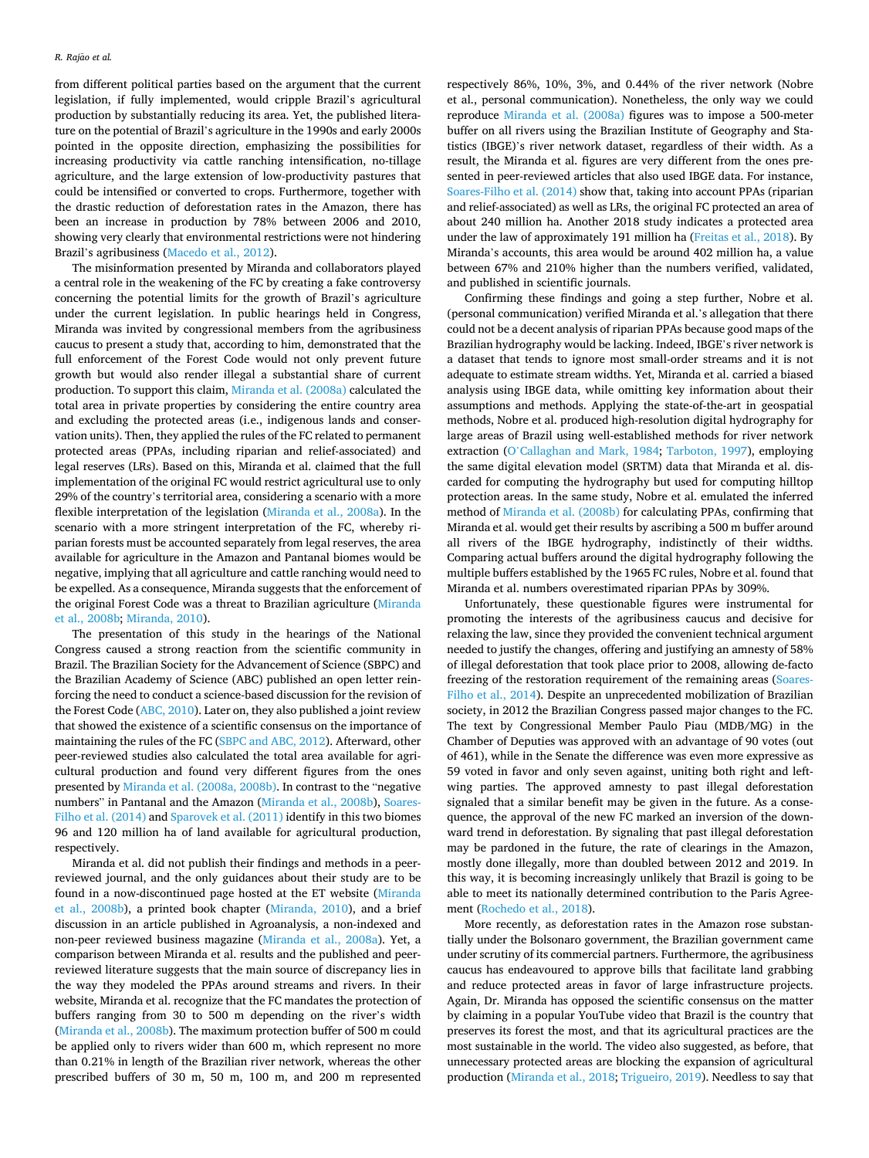from different political parties based on the argument that the current legislation, if fully implemented, would cripple Brazil's agricultural production by substantially reducing its area. Yet, the published literature on the potential of Brazil's agriculture in the 1990s and early 2000s pointed in the opposite direction, emphasizing the possibilities for increasing productivity via cattle ranching intensification, no-tillage agriculture, and the large extension of low-productivity pastures that could be intensified or converted to crops. Furthermore, together with the drastic reduction of deforestation rates in the Amazon, there has been an increase in production by 78% between 2006 and 2010, showing very clearly that environmental restrictions were not hindering Brazil's agribusiness ([Macedo et al., 2012\)](#page-9-0).

The misinformation presented by Miranda and collaborators played a central role in the weakening of the FC by creating a fake controversy concerning the potential limits for the growth of Brazil's agriculture under the current legislation. In public hearings held in Congress, Miranda was invited by congressional members from the agribusiness caucus to present a study that, according to him, demonstrated that the full enforcement of the Forest Code would not only prevent future growth but would also render illegal a substantial share of current production. To support this claim, [Miranda et al. \(2008a\)](#page-9-0) calculated the total area in private properties by considering the entire country area and excluding the protected areas (i.e., indigenous lands and conservation units). Then, they applied the rules of the FC related to permanent protected areas (PPAs, including riparian and relief-associated) and legal reserves (LRs). Based on this, Miranda et al. claimed that the full implementation of the original FC would restrict agricultural use to only 29% of the country's territorial area, considering a scenario with a more flexible interpretation of the legislation [\(Miranda et al., 2008a\)](#page-9-0). In the scenario with a more stringent interpretation of the FC, whereby riparian forests must be accounted separately from legal reserves, the area available for agriculture in the Amazon and Pantanal biomes would be negative, implying that all agriculture and cattle ranching would need to be expelled. As a consequence, Miranda suggests that the enforcement of the original Forest Code was a threat to Brazilian agriculture [\(Miranda](#page-9-0)  [et al., 2008b](#page-9-0); [Miranda, 2010](#page-9-0)).

The presentation of this study in the hearings of the National Congress caused a strong reaction from the scientific community in Brazil. The Brazilian Society for the Advancement of Science (SBPC) and the Brazilian Academy of Science (ABC) published an open letter reinforcing the need to conduct a science-based discussion for the revision of the Forest Code [\(ABC, 2010](#page-8-0)). Later on, they also published a joint review that showed the existence of a scientific consensus on the importance of maintaining the rules of the FC [\(SBPC and ABC, 2012](#page-9-0)). Afterward, other peer-reviewed studies also calculated the total area available for agricultural production and found very different figures from the ones presented by [Miranda et al. \(2008a, 2008b\).](#page-9-0) In contrast to the "negative numbers" in Pantanal and the Amazon [\(Miranda et al., 2008b\)](#page-9-0), [Soares-](#page-9-0)[Filho et al. \(2014\)](#page-9-0) and [Sparovek et al. \(2011\)](#page-9-0) identify in this two biomes 96 and 120 million ha of land available for agricultural production, respectively.

Miranda et al. did not publish their findings and methods in a peerreviewed journal, and the only guidances about their study are to be found in a now-discontinued page hosted at the ET website [\(Miranda](#page-9-0)  [et al., 2008b\)](#page-9-0), a printed book chapter [\(Miranda, 2010\)](#page-9-0), and a brief discussion in an article published in Agroanalysis, a non-indexed and non-peer reviewed business magazine [\(Miranda et al., 2008a](#page-9-0)). Yet, a comparison between Miranda et al. results and the published and peerreviewed literature suggests that the main source of discrepancy lies in the way they modeled the PPAs around streams and rivers. In their website, Miranda et al. recognize that the FC mandates the protection of buffers ranging from 30 to 500 m depending on the river's width ([Miranda et al., 2008b\)](#page-9-0). The maximum protection buffer of 500 m could be applied only to rivers wider than 600 m, which represent no more than 0.21% in length of the Brazilian river network, whereas the other prescribed buffers of 30 m, 50 m, 100 m, and 200 m represented respectively 86%, 10%, 3%, and 0.44% of the river network (Nobre et al., personal communication). Nonetheless, the only way we could reproduce [Miranda et al. \(2008a\)](#page-9-0) figures was to impose a 500-meter buffer on all rivers using the Brazilian Institute of Geography and Statistics (IBGE)'s river network dataset, regardless of their width. As a result, the Miranda et al. figures are very different from the ones presented in peer-reviewed articles that also used IBGE data. For instance, [Soares-Filho et al. \(2014\)](#page-9-0) show that, taking into account PPAs (riparian and relief-associated) as well as LRs, the original FC protected an area of about 240 million ha. Another 2018 study indicates a protected area under the law of approximately 191 million ha ([Freitas et al., 2018](#page-8-0)). By Miranda's accounts, this area would be around 402 million ha, a value between 67% and 210% higher than the numbers verified, validated, and published in scientific journals.

Confirming these findings and going a step further, Nobre et al. (personal communication) verified Miranda et al.'s allegation that there could not be a decent analysis of riparian PPAs because good maps of the Brazilian hydrography would be lacking. Indeed, IBGE's river network is a dataset that tends to ignore most small-order streams and it is not adequate to estimate stream widths. Yet, Miranda et al. carried a biased analysis using IBGE data, while omitting key information about their assumptions and methods. Applying the state-of-the-art in geospatial methods, Nobre et al. produced high-resolution digital hydrography for large areas of Brazil using well-established methods for river network extraction (O'[Callaghan and Mark, 1984;](#page-9-0) [Tarboton, 1997](#page-9-0)), employing the same digital elevation model (SRTM) data that Miranda et al. discarded for computing the hydrography but used for computing hilltop protection areas. In the same study, Nobre et al. emulated the inferred method of [Miranda et al. \(2008b\)](#page-9-0) for calculating PPAs, confirming that Miranda et al. would get their results by ascribing a 500 m buffer around all rivers of the IBGE hydrography, indistinctly of their widths. Comparing actual buffers around the digital hydrography following the multiple buffers established by the 1965 FC rules, Nobre et al. found that Miranda et al. numbers overestimated riparian PPAs by 309%.

Unfortunately, these questionable figures were instrumental for promoting the interests of the agribusiness caucus and decisive for relaxing the law, since they provided the convenient technical argument needed to justify the changes, offering and justifying an amnesty of 58% of illegal deforestation that took place prior to 2008, allowing de-facto freezing of the restoration requirement of the remaining areas [\(Soares-](#page-9-0)[Filho et al., 2014\)](#page-9-0). Despite an unprecedented mobilization of Brazilian society, in 2012 the Brazilian Congress passed major changes to the FC. The text by Congressional Member Paulo Piau (MDB/MG) in the Chamber of Deputies was approved with an advantage of 90 votes (out of 461), while in the Senate the difference was even more expressive as 59 voted in favor and only seven against, uniting both right and leftwing parties. The approved amnesty to past illegal deforestation signaled that a similar benefit may be given in the future. As a consequence, the approval of the new FC marked an inversion of the downward trend in deforestation. By signaling that past illegal deforestation may be pardoned in the future, the rate of clearings in the Amazon, mostly done illegally, more than doubled between 2012 and 2019. In this way, it is becoming increasingly unlikely that Brazil is going to be able to meet its nationally determined contribution to the Paris Agreement ([Rochedo et al., 2018](#page-9-0)).

More recently, as deforestation rates in the Amazon rose substantially under the Bolsonaro government, the Brazilian government came under scrutiny of its commercial partners. Furthermore, the agribusiness caucus has endeavoured to approve bills that facilitate land grabbing and reduce protected areas in favor of large infrastructure projects. Again, Dr. Miranda has opposed the scientific consensus on the matter by claiming in a popular YouTube video that Brazil is the country that preserves its forest the most, and that its agricultural practices are the most sustainable in the world. The video also suggested, as before, that unnecessary protected areas are blocking the expansion of agricultural production [\(Miranda et al., 2018; Trigueiro, 2019\)](#page-9-0). Needless to say that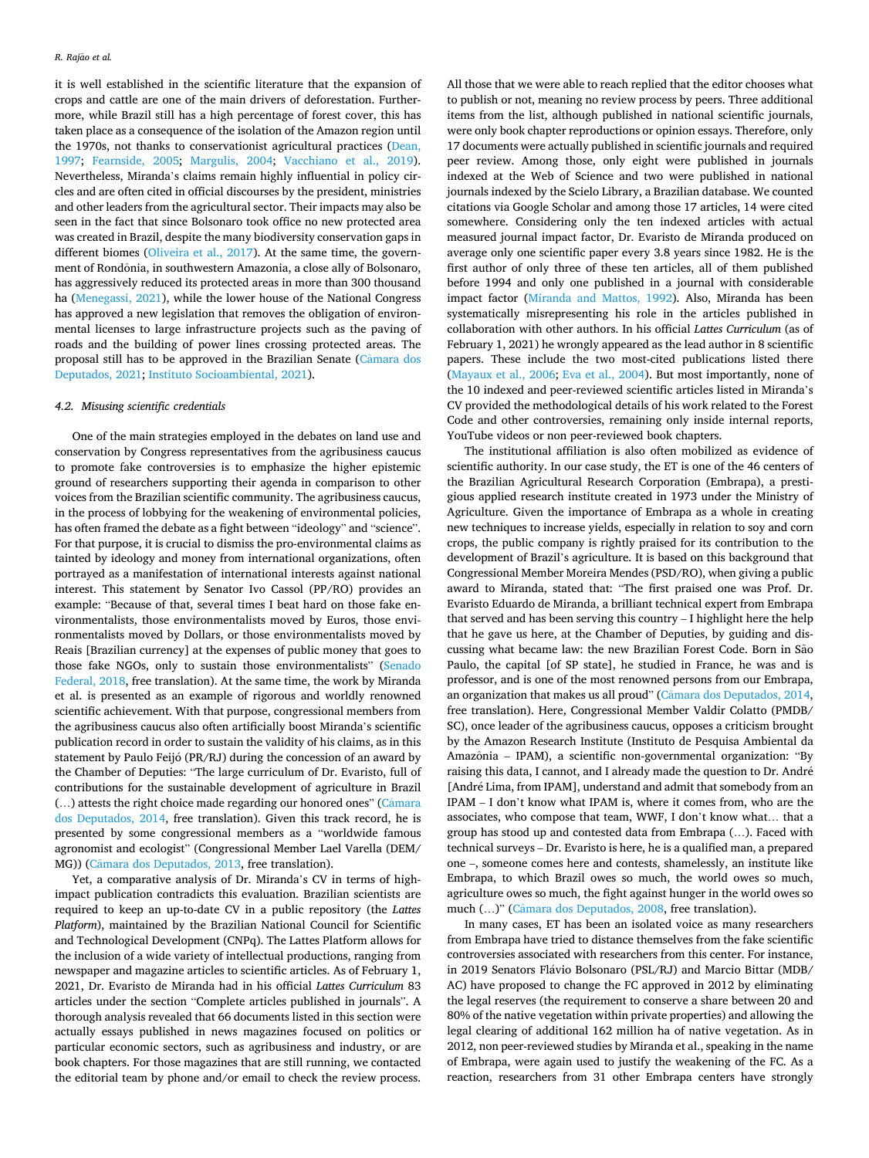it is well established in the scientific literature that the expansion of crops and cattle are one of the main drivers of deforestation. Furthermore, while Brazil still has a high percentage of forest cover, this has taken place as a consequence of the isolation of the Amazon region until the 1970s, not thanks to conservationist agricultural practices [\(Dean,](#page-8-0)  [1997;](#page-8-0) [Fearnside, 2005;](#page-8-0) [Margulis, 2004](#page-9-0); [Vacchiano et al., 2019](#page-10-0)). Nevertheless, Miranda's claims remain highly influential in policy circles and are often cited in official discourses by the president, ministries and other leaders from the agricultural sector. Their impacts may also be seen in the fact that since Bolsonaro took office no new protected area was created in Brazil, despite the many biodiversity conservation gaps in different biomes [\(Oliveira et al., 2017\)](#page-9-0). At the same time, the government of Rondônia, in southwestern Amazonia, a close ally of Bolsonaro, has aggressively reduced its protected areas in more than 300 thousand ha ([Menegassi, 2021](#page-9-0)), while the lower house of the National Congress has approved a new legislation that removes the obligation of environmental licenses to large infrastructure projects such as the paving of roads and the building of power lines crossing protected areas. The proposal still has to be approved in the Brazilian Senate (Câmara dos [Deputados, 2021](#page-8-0); [Instituto Socioambiental, 2021\)](#page-8-0).

#### *4.2. Misusing scientific credentials*

One of the main strategies employed in the debates on land use and conservation by Congress representatives from the agribusiness caucus to promote fake controversies is to emphasize the higher epistemic ground of researchers supporting their agenda in comparison to other voices from the Brazilian scientific community. The agribusiness caucus, in the process of lobbying for the weakening of environmental policies, has often framed the debate as a fight between "ideology" and "science". For that purpose, it is crucial to dismiss the pro-environmental claims as tainted by ideology and money from international organizations, often portrayed as a manifestation of international interests against national interest. This statement by Senator Ivo Cassol (PP/RO) provides an example: "Because of that, several times I beat hard on those fake environmentalists, those environmentalists moved by Euros, those environmentalists moved by Dollars, or those environmentalists moved by Reais [Brazilian currency] at the expenses of public money that goes to those fake NGOs, only to sustain those environmentalists" (Senado [Federal, 2018](#page-9-0), free translation). At the same time, the work by Miranda et al. is presented as an example of rigorous and worldly renowned scientific achievement. With that purpose, congressional members from the agribusiness caucus also often artificially boost Miranda's scientific publication record in order to sustain the validity of his claims, as in this statement by Paulo Feijó (PR/RJ) during the concession of an award by the Chamber of Deputies: "The large curriculum of Dr. Evaristo, full of contributions for the sustainable development of agriculture in Brazil  $(...)$  attests the right choice made regarding our honored ones" (Câmara [dos Deputados, 2014](#page-8-0), free translation). Given this track record, he is presented by some congressional members as a "worldwide famous agronomist and ecologist" (Congressional Member Lael Varella (DEM/ MG)) (Câmara [dos Deputados, 2013](#page-8-0), free translation).

Yet, a comparative analysis of Dr. Miranda's CV in terms of highimpact publication contradicts this evaluation. Brazilian scientists are required to keep an up-to-date CV in a public repository (the *Lattes Platform*), maintained by the Brazilian National Council for Scientific and Technological Development (CNPq). The Lattes Platform allows for the inclusion of a wide variety of intellectual productions, ranging from newspaper and magazine articles to scientific articles. As of February 1, 2021, Dr. Evaristo de Miranda had in his official *Lattes Curriculum* 83 articles under the section "Complete articles published in journals". A thorough analysis revealed that 66 documents listed in this section were actually essays published in news magazines focused on politics or particular economic sectors, such as agribusiness and industry, or are book chapters. For those magazines that are still running, we contacted the editorial team by phone and/or email to check the review process.

All those that we were able to reach replied that the editor chooses what to publish or not, meaning no review process by peers. Three additional items from the list, although published in national scientific journals, were only book chapter reproductions or opinion essays. Therefore, only 17 documents were actually published in scientific journals and required peer review. Among those, only eight were published in journals indexed at the Web of Science and two were published in national journals indexed by the Scielo Library, a Brazilian database. We counted citations via Google Scholar and among those 17 articles, 14 were cited somewhere. Considering only the ten indexed articles with actual measured journal impact factor, Dr. Evaristo de Miranda produced on average only one scientific paper every 3.8 years since 1982. He is the first author of only three of these ten articles, all of them published before 1994 and only one published in a journal with considerable impact factor [\(Miranda and Mattos, 1992\)](#page-9-0). Also, Miranda has been systematically misrepresenting his role in the articles published in collaboration with other authors. In his official *Lattes Curriculum* (as of February 1, 2021) he wrongly appeared as the lead author in 8 scientific papers. These include the two most-cited publications listed there ([Mayaux et al., 2006;](#page-9-0) [Eva et al., 2004](#page-8-0)). But most importantly, none of the 10 indexed and peer-reviewed scientific articles listed in Miranda's CV provided the methodological details of his work related to the Forest Code and other controversies, remaining only inside internal reports, YouTube videos or non peer-reviewed book chapters.

The institutional affiliation is also often mobilized as evidence of scientific authority. In our case study, the ET is one of the 46 centers of the Brazilian Agricultural Research Corporation (Embrapa), a prestigious applied research institute created in 1973 under the Ministry of Agriculture. Given the importance of Embrapa as a whole in creating new techniques to increase yields, especially in relation to soy and corn crops, the public company is rightly praised for its contribution to the development of Brazil's agriculture. It is based on this background that Congressional Member Moreira Mendes (PSD/RO), when giving a public award to Miranda, stated that: "The first praised one was Prof. Dr. Evaristo Eduardo de Miranda, a brilliant technical expert from Embrapa that served and has been serving this country – I highlight here the help that he gave us here, at the Chamber of Deputies, by guiding and discussing what became law: the new Brazilian Forest Code. Born in São Paulo, the capital [of SP state], he studied in France, he was and is professor, and is one of the most renowned persons from our Embrapa, an organization that makes us all proud" (Câmara [dos Deputados, 2014](#page-8-0), free translation). Here, Congressional Member Valdir Colatto (PMDB/ SC), once leader of the agribusiness caucus, opposes a criticism brought by the Amazon Research Institute (Instituto de Pesquisa Ambiental da Amazônia – IPAM), a scientific non-governmental organization: "By raising this data, I cannot, and I already made the question to Dr. André [André Lima, from IPAM], understand and admit that somebody from an IPAM – I don't know what IPAM is, where it comes from, who are the associates, who compose that team, WWF, I don't know what… that a group has stood up and contested data from Embrapa (…). Faced with technical surveys – Dr. Evaristo is here, he is a qualified man, a prepared one –, someone comes here and contests, shamelessly, an institute like Embrapa, to which Brazil owes so much, the world owes so much, agriculture owes so much, the fight against hunger in the world owes so much (...)" (Câmara [dos Deputados, 2008](#page-8-0), free translation).

In many cases, ET has been an isolated voice as many researchers from Embrapa have tried to distance themselves from the fake scientific controversies associated with researchers from this center. For instance, in 2019 Senators Flávio Bolsonaro (PSL/RJ) and Marcio Bittar (MDB/ AC) have proposed to change the FC approved in 2012 by eliminating the legal reserves (the requirement to conserve a share between 20 and 80% of the native vegetation within private properties) and allowing the legal clearing of additional 162 million ha of native vegetation. As in 2012, non peer-reviewed studies by Miranda et al., speaking in the name of Embrapa, were again used to justify the weakening of the FC. As a reaction, researchers from 31 other Embrapa centers have strongly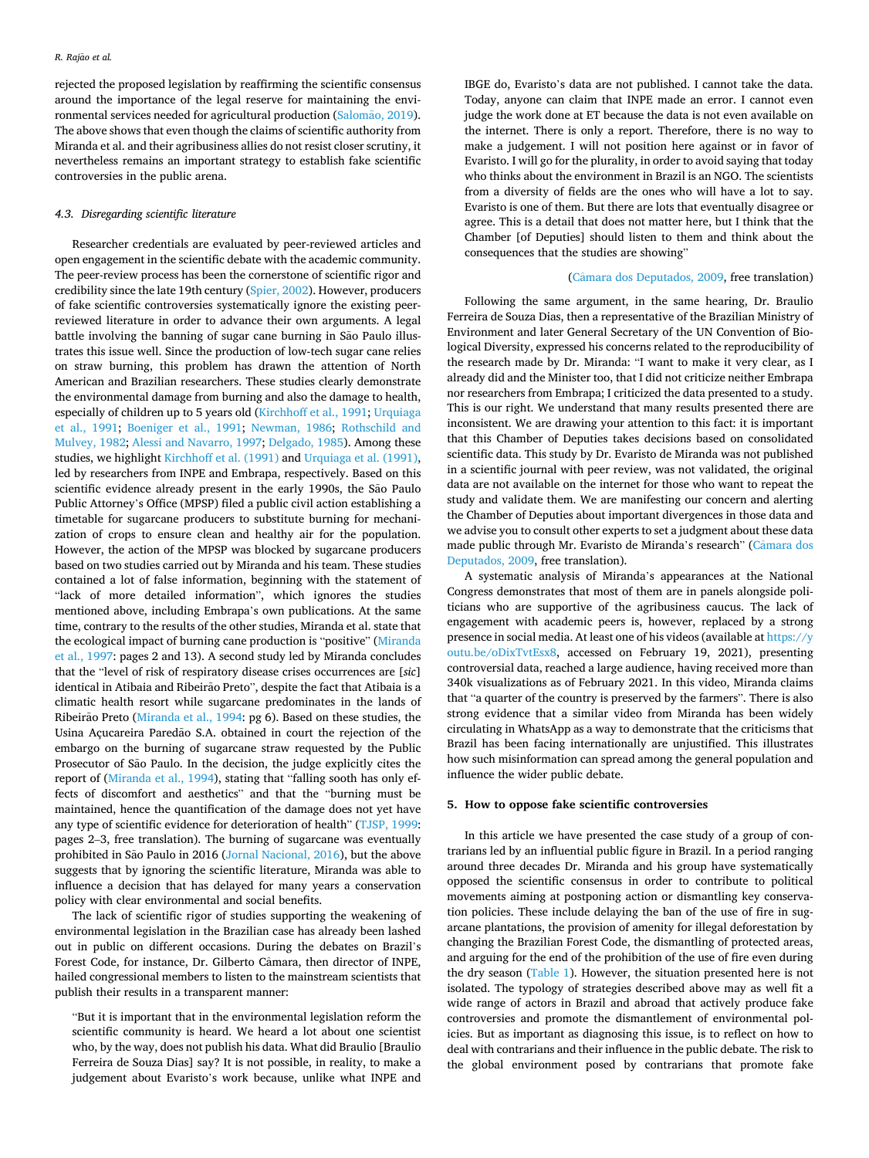rejected the proposed legislation by reaffirming the scientific consensus around the importance of the legal reserve for maintaining the environmental services needed for agricultural production (Salomão, 2019). The above shows that even though the claims of scientific authority from Miranda et al. and their agribusiness allies do not resist closer scrutiny, it nevertheless remains an important strategy to establish fake scientific controversies in the public arena.

# *4.3. Disregarding scientific literature*

Researcher credentials are evaluated by peer-reviewed articles and open engagement in the scientific debate with the academic community. The peer-review process has been the cornerstone of scientific rigor and credibility since the late 19th century ([Spier, 2002](#page-9-0)). However, producers of fake scientific controversies systematically ignore the existing peerreviewed literature in order to advance their own arguments. A legal battle involving the banning of sugar cane burning in São Paulo illustrates this issue well. Since the production of low-tech sugar cane relies on straw burning, this problem has drawn the attention of North American and Brazilian researchers. These studies clearly demonstrate the environmental damage from burning and also the damage to health, especially of children up to 5 years old ([Kirchhoff et al., 1991](#page-9-0); [Urquiaga](#page-10-0)  [et al., 1991](#page-10-0); [Boeniger et al., 1991](#page-8-0); [Newman, 1986;](#page-9-0) [Rothschild and](#page-9-0)  [Mulvey, 1982](#page-9-0); [Alessi and Navarro, 1997; Delgado, 1985\)](#page-8-0). Among these studies, we highlight [Kirchhoff et al. \(1991\)](#page-9-0) and [Urquiaga et al. \(1991\)](#page-10-0), led by researchers from INPE and Embrapa, respectively. Based on this scientific evidence already present in the early 1990s, the São Paulo Public Attorney's Office (MPSP) filed a public civil action establishing a timetable for sugarcane producers to substitute burning for mechanization of crops to ensure clean and healthy air for the population. However, the action of the MPSP was blocked by sugarcane producers based on two studies carried out by Miranda and his team. These studies contained a lot of false information, beginning with the statement of "lack of more detailed information", which ignores the studies mentioned above, including Embrapa's own publications. At the same time, contrary to the results of the other studies, Miranda et al. state that the ecological impact of burning cane production is "positive" [\(Miranda](#page-9-0)  [et al., 1997:](#page-9-0) pages 2 and 13). A second study led by Miranda concludes that the "level of risk of respiratory disease crises occurrences are [*sic*] identical in Atibaia and Ribeirão Preto", despite the fact that Atibaia is a climatic health resort while sugarcane predominates in the lands of Ribeirão Preto ([Miranda et al., 1994](#page-9-0): pg 6). Based on these studies, the Usina Açucareira Paredão S.A. obtained in court the rejection of the embargo on the burning of sugarcane straw requested by the Public Prosecutor of São Paulo. In the decision, the judge explicitly cites the report of [\(Miranda et al., 1994\)](#page-9-0), stating that "falling sooth has only effects of discomfort and aesthetics" and that the "burning must be maintained, hence the quantification of the damage does not yet have any type of scientific evidence for deterioration of health" ([TJSP, 1999](#page-9-0): pages 2–3, free translation). The burning of sugarcane was eventually prohibited in São Paulo in 2016 ([Jornal Nacional, 2016](#page-9-0)), but the above suggests that by ignoring the scientific literature, Miranda was able to influence a decision that has delayed for many years a conservation policy with clear environmental and social benefits.

The lack of scientific rigor of studies supporting the weakening of environmental legislation in the Brazilian case has already been lashed out in public on different occasions. During the debates on Brazil's Forest Code, for instance, Dr. Gilberto Câmara, then director of INPE, hailed congressional members to listen to the mainstream scientists that publish their results in a transparent manner:

"But it is important that in the environmental legislation reform the scientific community is heard. We heard a lot about one scientist who, by the way, does not publish his data. What did Braulio [Braulio Ferreira de Souza Dias] say? It is not possible, in reality, to make a judgement about Evaristo's work because, unlike what INPE and

IBGE do, Evaristo's data are not published. I cannot take the data. Today, anyone can claim that INPE made an error. I cannot even judge the work done at ET because the data is not even available on the internet. There is only a report. Therefore, there is no way to make a judgement. I will not position here against or in favor of Evaristo. I will go for the plurality, in order to avoid saying that today who thinks about the environment in Brazil is an NGO. The scientists from a diversity of fields are the ones who will have a lot to say. Evaristo is one of them. But there are lots that eventually disagree or agree. This is a detail that does not matter here, but I think that the Chamber [of Deputies] should listen to them and think about the consequences that the studies are showing"

# (Câmara [dos Deputados, 2009](#page-8-0), free translation)

Following the same argument, in the same hearing, Dr. Braulio Ferreira de Souza Dias, then a representative of the Brazilian Ministry of Environment and later General Secretary of the UN Convention of Biological Diversity, expressed his concerns related to the reproducibility of the research made by Dr. Miranda: "I want to make it very clear, as I already did and the Minister too, that I did not criticize neither Embrapa nor researchers from Embrapa; I criticized the data presented to a study. This is our right. We understand that many results presented there are inconsistent. We are drawing your attention to this fact: it is important that this Chamber of Deputies takes decisions based on consolidated scientific data. This study by Dr. Evaristo de Miranda was not published in a scientific journal with peer review, was not validated, the original data are not available on the internet for those who want to repeat the study and validate them. We are manifesting our concern and alerting the Chamber of Deputies about important divergences in those data and we advise you to consult other experts to set a judgment about these data made public through Mr. Evaristo de Miranda's research" (Câmara dos [Deputados, 2009](#page-8-0), free translation).

A systematic analysis of Miranda's appearances at the National Congress demonstrates that most of them are in panels alongside politicians who are supportive of the agribusiness caucus. The lack of engagement with academic peers is, however, replaced by a strong presence in social media. At least one of his videos (available at [https://y](https://youtu.be/oDixTvtEsx8)  [outu.be/oDixTvtEsx8,](https://youtu.be/oDixTvtEsx8) accessed on February 19, 2021), presenting controversial data, reached a large audience, having received more than 340k visualizations as of February 2021. In this video, Miranda claims that "a quarter of the country is preserved by the farmers". There is also strong evidence that a similar video from Miranda has been widely circulating in WhatsApp as a way to demonstrate that the criticisms that Brazil has been facing internationally are unjustified. This illustrates how such misinformation can spread among the general population and influence the wider public debate.

#### **5. How to oppose fake scientific controversies**

In this article we have presented the case study of a group of contrarians led by an influential public figure in Brazil. In a period ranging around three decades Dr. Miranda and his group have systematically opposed the scientific consensus in order to contribute to political movements aiming at postponing action or dismantling key conservation policies. These include delaying the ban of the use of fire in sugarcane plantations, the provision of amenity for illegal deforestation by changing the Brazilian Forest Code, the dismantling of protected areas, and arguing for the end of the prohibition of the use of fire even during the dry season ([Table 1\)](#page-7-0). However, the situation presented here is not isolated. The typology of strategies described above may as well fit a wide range of actors in Brazil and abroad that actively produce fake controversies and promote the dismantlement of environmental policies. But as important as diagnosing this issue, is to reflect on how to deal with contrarians and their influence in the public debate. The risk to the global environment posed by contrarians that promote fake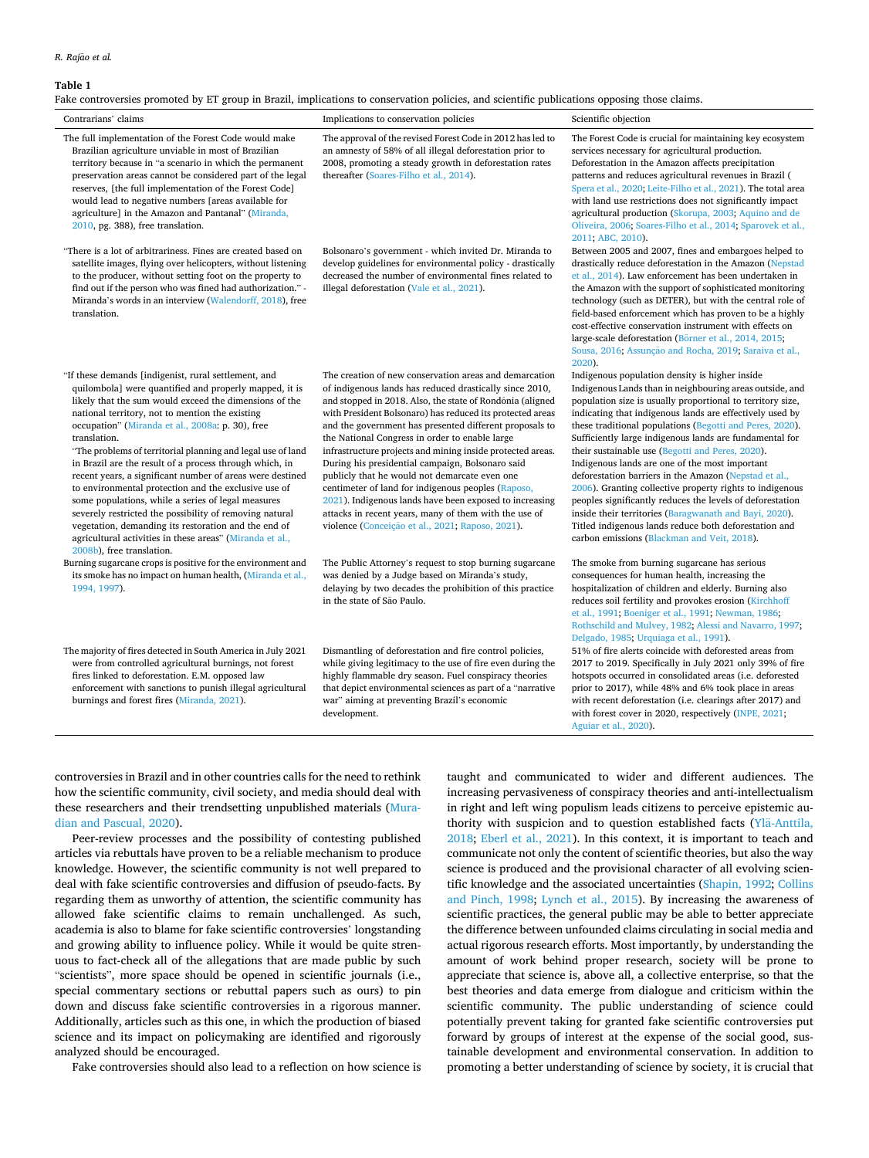#### <span id="page-7-0"></span>**Table 1**

Fake controversies promoted by ET group in Brazil, implications to conservation policies, and scientific publications opposing those claims.

| Contrarians' claims                                                                                                                                                                                                                                                                                                                                                                                                                                                                                                                                                                                                                                                                                                                                                                                              | Implications to conservation policies                                                                                                                                                                                                                                                                                                                                                                                                                                                                                                                                                                                                                                                                                                                     | Scientific objection                                                                                                                                                                                                                                                                                                                                                                                                                                                                                                                                                                                                                                                                                                                                                                                                  |
|------------------------------------------------------------------------------------------------------------------------------------------------------------------------------------------------------------------------------------------------------------------------------------------------------------------------------------------------------------------------------------------------------------------------------------------------------------------------------------------------------------------------------------------------------------------------------------------------------------------------------------------------------------------------------------------------------------------------------------------------------------------------------------------------------------------|-----------------------------------------------------------------------------------------------------------------------------------------------------------------------------------------------------------------------------------------------------------------------------------------------------------------------------------------------------------------------------------------------------------------------------------------------------------------------------------------------------------------------------------------------------------------------------------------------------------------------------------------------------------------------------------------------------------------------------------------------------------|-----------------------------------------------------------------------------------------------------------------------------------------------------------------------------------------------------------------------------------------------------------------------------------------------------------------------------------------------------------------------------------------------------------------------------------------------------------------------------------------------------------------------------------------------------------------------------------------------------------------------------------------------------------------------------------------------------------------------------------------------------------------------------------------------------------------------|
| The full implementation of the Forest Code would make<br>Brazilian agriculture unviable in most of Brazilian<br>territory because in "a scenario in which the permanent<br>preservation areas cannot be considered part of the legal<br>reserves, [the full implementation of the Forest Code]<br>would lead to negative numbers [areas available for<br>agriculture] in the Amazon and Pantanal" (Miranda,<br>2010, pg. 388), free translation.                                                                                                                                                                                                                                                                                                                                                                 | The approval of the revised Forest Code in 2012 has led to<br>an amnesty of 58% of all illegal deforestation prior to<br>2008, promoting a steady growth in deforestation rates<br>thereafter (Soares-Filho et al., 2014).                                                                                                                                                                                                                                                                                                                                                                                                                                                                                                                                | The Forest Code is crucial for maintaining key ecosystem<br>services necessary for agricultural production.<br>Deforestation in the Amazon affects precipitation<br>patterns and reduces agricultural revenues in Brazil (<br>Spera et al., 2020; Leite-Filho et al., 2021). The total area<br>with land use restrictions does not significantly impact<br>agricultural production (Skorupa, 2003; Aquino and de<br>Oliveira, 2006; Soares-Filho et al., 2014; Sparovek et al.,<br>2011; ABC, 2010).                                                                                                                                                                                                                                                                                                                  |
| There is a lot of arbitrariness. Fines are created based on<br>satellite images, flying over helicopters, without listening<br>to the producer, without setting foot on the property to<br>find out if the person who was fined had authorization." -<br>Miranda's words in an interview (Walendorff, 2018), free<br>translation.                                                                                                                                                                                                                                                                                                                                                                                                                                                                                | Bolsonaro's government - which invited Dr. Miranda to<br>develop guidelines for environmental policy - drastically<br>decreased the number of environmental fines related to<br>illegal deforestation (Vale et al., 2021).                                                                                                                                                                                                                                                                                                                                                                                                                                                                                                                                | Between 2005 and 2007, fines and embargoes helped to<br>drastically reduce deforestation in the Amazon (Nepstad<br>et al., 2014). Law enforcement has been undertaken in<br>the Amazon with the support of sophisticated monitoring<br>technology (such as DETER), but with the central role of<br>field-based enforcement which has proven to be a highly<br>cost-effective conservation instrument with effects on<br>large-scale deforestation (Börner et al., 2014, 2015;<br>Sousa, 2016; Assunção and Rocha, 2019; Saraiva et al.,<br>2020).                                                                                                                                                                                                                                                                     |
| "If these demands [indigenist, rural settlement, and<br>quilombola] were quantified and properly mapped, it is<br>likely that the sum would exceed the dimensions of the<br>national territory, not to mention the existing<br>occupation" (Miranda et al., 2008a: p. 30), free<br>translation.<br>"The problems of territorial planning and legal use of land<br>in Brazil are the result of a process through which, in<br>recent years, a significant number of areas were destined<br>to environmental protection and the exclusive use of<br>some populations, while a series of legal measures<br>severely restricted the possibility of removing natural<br>vegetation, demanding its restoration and the end of<br>agricultural activities in these areas" (Miranda et al.,<br>2008b), free translation. | The creation of new conservation areas and demarcation<br>of indigenous lands has reduced drastically since 2010,<br>and stopped in 2018. Also, the state of Rondônia (aligned<br>with President Bolsonaro) has reduced its protected areas<br>and the government has presented different proposals to<br>the National Congress in order to enable large<br>infrastructure projects and mining inside protected areas.<br>During his presidential campaign, Bolsonaro said<br>publicly that he would not demarcate even one<br>centimeter of land for indigenous peoples (Raposo,<br>2021). Indigenous lands have been exposed to increasing<br>attacks in recent years, many of them with the use of<br>violence (Conceição et al., 2021; Raposo, 2021). | Indigenous population density is higher inside<br>Indigenous Lands than in neighbouring areas outside, and<br>population size is usually proportional to territory size,<br>indicating that indigenous lands are effectively used by<br>these traditional populations (Begotti and Peres, 2020).<br>Sufficiently large indigenous lands are fundamental for<br>their sustainable use (Begotti and Peres, 2020).<br>Indigenous lands are one of the most important<br>deforestation barriers in the Amazon (Nepstad et al.,<br>2006). Granting collective property rights to indigenous<br>peoples significantly reduces the levels of deforestation<br>inside their territories (Baragwanath and Bayi, 2020).<br>Titled indigenous lands reduce both deforestation and<br>carbon emissions (Blackman and Veit, 2018). |
| Burning sugarcane crops is positive for the environment and<br>its smoke has no impact on human health, (Miranda et al.,<br>1994, 1997).                                                                                                                                                                                                                                                                                                                                                                                                                                                                                                                                                                                                                                                                         | The Public Attorney's request to stop burning sugarcane<br>was denied by a Judge based on Miranda's study,<br>delaying by two decades the prohibition of this practice<br>in the state of São Paulo.                                                                                                                                                                                                                                                                                                                                                                                                                                                                                                                                                      | The smoke from burning sugarcane has serious<br>consequences for human health, increasing the<br>hospitalization of children and elderly. Burning also<br>reduces soil fertility and provokes erosion (Kirchhoff<br>et al., 1991; Boeniger et al., 1991; Newman, 1986;<br>Rothschild and Mulvey, 1982; Alessi and Navarro, 1997;<br>Delgado, 1985; Urquiaga et al., 1991).                                                                                                                                                                                                                                                                                                                                                                                                                                            |
| The majority of fires detected in South America in July 2021<br>were from controlled agricultural burnings, not forest<br>fires linked to deforestation. E.M. opposed law<br>enforcement with sanctions to punish illegal agricultural<br>burnings and forest fires (Miranda, 2021).                                                                                                                                                                                                                                                                                                                                                                                                                                                                                                                             | Dismantling of deforestation and fire control policies,<br>while giving legitimacy to the use of fire even during the<br>highly flammable dry season. Fuel conspiracy theories<br>that depict environmental sciences as part of a "narrative"<br>war" aiming at preventing Brazil's economic<br>development.                                                                                                                                                                                                                                                                                                                                                                                                                                              | 51% of fire alerts coincide with deforested areas from<br>2017 to 2019. Specifically in July 2021 only 39% of fire<br>hotspots occurred in consolidated areas (i.e. deforested<br>prior to 2017), while 48% and 6% took place in areas<br>with recent deforestation (i.e. clearings after 2017) and<br>with forest cover in 2020, respectively (INPE, 2021;                                                                                                                                                                                                                                                                                                                                                                                                                                                           |

controversies in Brazil and in other countries calls for the need to rethink how the scientific community, civil society, and media should deal with these researchers and their trendsetting unpublished materials [\(Mura](#page-9-0)[dian and Pascual, 2020](#page-9-0)).

Peer-review processes and the possibility of contesting published articles via rebuttals have proven to be a reliable mechanism to produce knowledge. However, the scientific community is not well prepared to deal with fake scientific controversies and diffusion of pseudo-facts. By regarding them as unworthy of attention, the scientific community has allowed fake scientific claims to remain unchallenged. As such, academia is also to blame for fake scientific controversies' longstanding and growing ability to influence policy. While it would be quite strenuous to fact-check all of the allegations that are made public by such "scientists", more space should be opened in scientific journals (i.e., special commentary sections or rebuttal papers such as ours) to pin down and discuss fake scientific controversies in a rigorous manner. Additionally, articles such as this one, in which the production of biased science and its impact on policymaking are identified and rigorously analyzed should be encouraged.

Fake controversies should also lead to a reflection on how science is

taught and communicated to wider and different audiences. The increasing pervasiveness of conspiracy theories and anti-intellectualism in right and left wing populism leads citizens to perceive epistemic authority with suspicion and to question established facts (Ylä-Anttila, [2018;](#page-10-0) [Eberl et al., 2021\)](#page-8-0). In this context, it is important to teach and communicate not only the content of scientific theories, but also the way science is produced and the provisional character of all evolving scientific knowledge and the associated uncertainties [\(Shapin, 1992;](#page-9-0) [Collins](#page-8-0)  [and Pinch, 1998;](#page-8-0) [Lynch et al., 2015](#page-9-0)). By increasing the awareness of scientific practices, the general public may be able to better appreciate the difference between unfounded claims circulating in social media and actual rigorous research efforts. Most importantly, by understanding the amount of work behind proper research, society will be prone to appreciate that science is, above all, a collective enterprise, so that the best theories and data emerge from dialogue and criticism within the scientific community. The public understanding of science could potentially prevent taking for granted fake scientific controversies put forward by groups of interest at the expense of the social good, sustainable development and environmental conservation. In addition to promoting a better understanding of science by society, it is crucial that

[Aguiar et al., 2020\)](#page-8-0).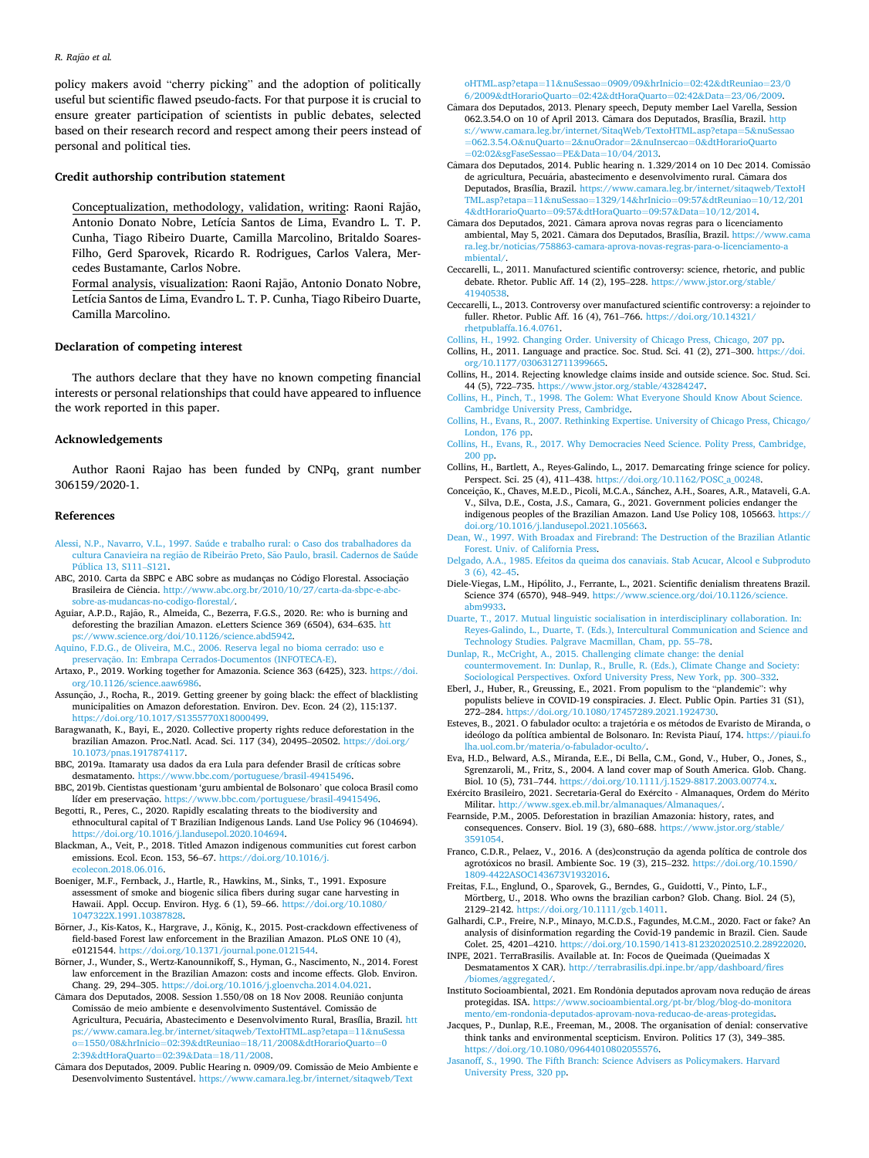<span id="page-8-0"></span>policy makers avoid "cherry picking" and the adoption of politically useful but scientific flawed pseudo-facts. For that purpose it is crucial to ensure greater participation of scientists in public debates, selected based on their research record and respect among their peers instead of personal and political ties.

#### **Credit authorship contribution statement**

Conceptualization, methodology, validation, writing: Raoni Rajão, Antonio Donato Nobre, Letícia Santos de Lima, Evandro L. T. P. Cunha, Tiago Ribeiro Duarte, Camilla Marcolino, Britaldo Soares-Filho, Gerd Sparovek, Ricardo R. Rodrigues, Carlos Valera, Mercedes Bustamante, Carlos Nobre.

Formal analysis, visualization: Raoni Rajão, Antonio Donato Nobre, Letícia Santos de Lima, Evandro L. T. P. Cunha, Tiago Ribeiro Duarte, Camilla Marcolino.

# **Declaration of competing interest**

The authors declare that they have no known competing financial interests or personal relationships that could have appeared to influence the work reported in this paper.

#### **Acknowledgements**

Author Raoni Rajao has been funded by CNPq, grant number 306159/2020-1.

## **References**

- [Alessi, N.P., Navarro, V.L., 1997. Saúde e trabalho rural: o Caso dos trabalhadores da](http://refhub.elsevier.com/S0006-3207(21)00499-7/rf202201042350369846)  cultura Canavieira na região de Ribeirão Preto, São Paulo, brasil. Cadernos de Saúde [Pública 13, S111](http://refhub.elsevier.com/S0006-3207(21)00499-7/rf202201042350369846)–S121.
- ABC, 2010. Carta da SBPC e ABC sobre as mudanças no Código Florestal. Associação Brasileira de Ciência. [http://www.abc.org.br/2010/10/27/carta-da-sbpc-e-abc](http://www.abc.org.br/2010/10/27/carta-da-sbpc-e-abc-sobre-as-mudancas-no-codigo-florestal/)as-mudancas-no-codigo-florestal/.
- Aguiar, A.P.D., Rajão, R., Almeida, C., Bezerra, F.G.S., 2020. Re: who is burning and deforesting the brazilian Amazon. eLetters Science 369 (6504), 634–635. [htt](https://www.science.org/doi/10.1126/science.abd5942) [ps://www.science.org/doi/10.1126/science.abd5942](https://www.science.org/doi/10.1126/science.abd5942).
- [Aquino, F.D.G., de Oliveira, M.C., 2006. Reserva legal no bioma cerrado: uso e](http://refhub.elsevier.com/S0006-3207(21)00499-7/rf202201042315464201) preservação. [In: Embrapa Cerrados-Documentos \(INFOTECA-E\)](http://refhub.elsevier.com/S0006-3207(21)00499-7/rf202201042315464201).

Artaxo, P., 2019. Working together for Amazonia. Science 363 (6425), 323. [https://doi.](https://doi.org/10.1126/science.aaw6986)  [org/10.1126/science.aaw6986](https://doi.org/10.1126/science.aaw6986).

- Assunção, J., Rocha, R., 2019. Getting greener by going black: the effect of blacklisting municipalities on Amazon deforestation. Environ. Dev. Econ. 24 (2), 115:137. [https://doi.org/10.1017/S1355770X18000499.](https://doi.org/10.1017/S1355770X18000499)
- Baragwanath, K., Bayi, E., 2020. Collective property rights reduce deforestation in the brazilian Amazon. Proc.Natl. Acad. Sci. 117 (34), 20495–20502. [https://doi.org/](https://doi.org/10.1073/pnas.1917874117)  [10.1073/pnas.1917874117.](https://doi.org/10.1073/pnas.1917874117)
- BBC, 2019a. Itamaraty usa dados da era Lula para defender Brasil de críticas sobre desmatamento. [https://www.bbc.com/portuguese/brasil-49415496.](https://www.bbc.com/portuguese/brasil-49415496)
- BBC, 2019b. Cientistas questionam 'guru ambiental de Bolsonaro' que coloca Brasil como líder em preservação. <https://www.bbc.com/portuguese/brasil-49415496>.
- Begotti, R., Peres, C., 2020. Rapidly escalating threats to the biodiversity and ethnocultural capital of T Brazilian Indigenous Lands. Land Use Policy 96 (104694). <https://doi.org/10.1016/j.landusepol.2020.104694>.
- Blackman, A., Veit, P., 2018. Titled Amazon indigenous communities cut forest carbon emissions. Ecol. Econ. 153, 56–67. [https://doi.org/10.1016/j.](https://doi.org/10.1016/j.ecolecon.2018.06.016)  [ecolecon.2018.06.016.](https://doi.org/10.1016/j.ecolecon.2018.06.016)
- Boeniger, M.F., Fernback, J., Hartle, R., Hawkins, M., Sinks, T., 1991. Exposure assessment of smoke and biogenic silica fibers during sugar cane harvesting in Hawaii. Appl. Occup. Environ. Hyg. 6 (1), 59–66. [https://doi.org/10.1080/](https://doi.org/10.1080/1047322X.1991.10387828) [1047322X.1991.10387828](https://doi.org/10.1080/1047322X.1991.10387828).
- Börner, J., Kis-Katos, K., Hargrave, J., König, K., 2015. Post-crackdown effectiveness of field-based Forest law enforcement in the Brazilian Amazon. PLoS ONE 10 (4), e0121544. <https://doi.org/10.1371/journal.pone.0121544>.
- Börner, J., Wunder, S., Wertz-Kanounnikoff, S., Hyman, G., Nascimento, N., 2014. Forest law enforcement in the Brazilian Amazon: costs and income effects. Glob. Environ. Chang. 29, 294–305. [https://doi.org/10.1016/j.gloenvcha.2014.04.021.](https://doi.org/10.1016/j.gloenvcha.2014.04.021)
- Câmara dos Deputados, 2008. Session 1.550/08 on 18 Nov 2008. Reunião conjunta Comissão de meio ambiente e desenvolvimento Sustentável. Comissão de Agricultura, Pecuária, Abastecimento e Desenvolvimento Rural, Brasília, Brazil. [htt](https://www.camara.leg.br/internet/sitaqweb/TextoHTML.asp?etapa=11&nuSessao=1550/08&hrInicio=02:39&dtReuniao=18/11/2008&dtHorarioQuarto=02:39&dtHoraQuarto=02:39&Data=18/11/2008) /www.camara.leg.br/internet/sitaqweb/TextoHTML.asp?etapa=11&nuS o=1550/08&hrInicio=02:39&dtReuniao=18/11/2008&[dtHorarioQuarto](https://www.camara.leg.br/internet/sitaqweb/TextoHTML.asp?etapa=11&nuSessao=1550/08&hrInicio=02:39&dtReuniao=18/11/2008&dtHorarioQuarto=02:39&dtHoraQuarto=02:39&Data=18/11/2008)=0 2:39&[dtHoraQuarto](https://www.camara.leg.br/internet/sitaqweb/TextoHTML.asp?etapa=11&nuSessao=1550/08&hrInicio=02:39&dtReuniao=18/11/2008&dtHorarioQuarto=02:39&dtHoraQuarto=02:39&Data=18/11/2008)=02:39&Data=18/11/2008.
- Câmara dos Deputados, 2009. Public Hearing n. 0909/09. Comissão de Meio Ambiente e Desenvolvimento Sustentável. https://www.camara.leg.br/internet/sitaqweb/Text

[oHTML.asp?etapa](https://www.camara.leg.br/internet/sitaqweb/TextoHTML.asp?etapa=11&nuSessao=0909/09&hrInicio=02:42&dtReuniao=23/06/2009&dtHorarioQuarto=02:42&dtHoraQuarto=02:42&Data=23/06/2009)=11&nuSessao=0909/09&hrInicio=02:42&dtReuniao=23/0 6/2009&[dtHorarioQuarto](https://www.camara.leg.br/internet/sitaqweb/TextoHTML.asp?etapa=11&nuSessao=0909/09&hrInicio=02:42&dtReuniao=23/06/2009&dtHorarioQuarto=02:42&dtHoraQuarto=02:42&Data=23/06/2009)=02:42&dtHoraQuarto=02:42&Data=23/06/2009.

- Câmara dos Deputados, 2013. Plenary speech, Deputy member Lael Varella, Session 062.3.54.O on 10 of April 2013. Câmara dos Deputados, Brasília, Brazil. [http](https://www.camara.leg.br/internet/SitaqWeb/TextoHTML.asp?etapa=5&nuSessao=062.3.54.O&nuQuarto=2&nuOrador=2&nuInsercao=0&dtHorarioQuarto=02:02&sgFaseSessao=PE&Data=10/04/2013) [s://www.camara.leg.br/internet/SitaqWeb/TextoHTML.asp?etapa](https://www.camara.leg.br/internet/SitaqWeb/TextoHTML.asp?etapa=5&nuSessao=062.3.54.O&nuQuarto=2&nuOrador=2&nuInsercao=0&dtHorarioQuarto=02:02&sgFaseSessao=PE&Data=10/04/2013)=5&nuSessa =062.3.54.O&nuQuarto=2&nuOrador=2&nuInsercao=0&[dtHorarioQuarto](https://www.camara.leg.br/internet/SitaqWeb/TextoHTML.asp?etapa=5&nuSessao=062.3.54.O&nuQuarto=2&nuOrador=2&nuInsercao=0&dtHorarioQuarto=02:02&sgFaseSessao=PE&Data=10/04/2013)  ao=PE&Data=10/04/2013.
- Câmara dos Deputados, 2014. Public hearing n. 1.329/2014 on 10 Dec 2014. Comissão de agricultura, Pecuária, abastecimento e desenvolvimento rural. Câmara dos Deputados, Brasília, Brazil. [https://www.camara.leg.br/internet/sitaqweb/TextoH](https://www.camara.leg.br/internet/sitaqweb/TextoHTML.asp?etapa=11&nuSessao=1329/14&hrInicio=09:57&dtReuniao=10/12/2014&dtHorarioQuarto=09:57&dtHoraQuarto=09:57&Data=10/12/2014) [TML.asp?etapa](https://www.camara.leg.br/internet/sitaqweb/TextoHTML.asp?etapa=11&nuSessao=1329/14&hrInicio=09:57&dtReuniao=10/12/2014&dtHorarioQuarto=09:57&dtHoraQuarto=09:57&Data=10/12/2014)=11&nuSessao=1329/14&hrInicio=09:57&dtReuniao=10/12/201 4&[dtHorarioQuarto](https://www.camara.leg.br/internet/sitaqweb/TextoHTML.asp?etapa=11&nuSessao=1329/14&hrInicio=09:57&dtReuniao=10/12/2014&dtHorarioQuarto=09:57&dtHoraQuarto=09:57&Data=10/12/2014)=09:57&dtHoraQuarto=09:57&Data=10/12/2014.
- Câmara dos Deputados, 2021. Câmara aprova novas regras para o licenciamento ambiental, May 5, 2021. Câmara dos Deputados, Brasília, Brazil. https://www.cama [ra.leg.br/noticias/758863-camara-aprova-novas-regras-para-o-licenciamento-a](https://www.camara.leg.br/noticias/758863-camara-aprova-novas-regras-para-o-licenciamento-ambiental/) [mbiental/.](https://www.camara.leg.br/noticias/758863-camara-aprova-novas-regras-para-o-licenciamento-ambiental/)
- Ceccarelli, L., 2011. Manufactured scientific controversy: science, rhetoric, and public debate. Rhetor. Public Aff. 14 (2), 195-228. https://www.jstor.org/stable/ [41940538](https://www.jstor.org/stable/41940538).
- Ceccarelli, L., 2013. Controversy over manufactured scientific controversy: a rejoinder to fuller. Rhetor. Public Aff. 16 (4), 761–766. [https://doi.org/10.14321/](https://doi.org/10.14321/rhetpublaffa.16.4.0761) [rhetpublaffa.16.4.0761.](https://doi.org/10.14321/rhetpublaffa.16.4.0761)
- [Collins, H., 1992. Changing Order. University of Chicago Press, Chicago, 207 pp](http://refhub.elsevier.com/S0006-3207(21)00499-7/rf202201042326117181).
- Collins, H., 2011. Language and practice. Soc. Stud. Sci. 41 (2), 271–300. [https://doi.](https://doi.org/10.1177/0306312711399665) [org/10.1177/0306312711399665.](https://doi.org/10.1177/0306312711399665)
- Collins, H., 2014. Rejecting knowledge claims inside and outside science. Soc. Stud. Sci. 44 (5), 722–735. [https://www.jstor.org/stable/43284247.](https://www.jstor.org/stable/43284247)
- [Collins, H., Pinch, T., 1998. The Golem: What Everyone Should Know About Science.](http://refhub.elsevier.com/S0006-3207(21)00499-7/rf202201042326494568) [Cambridge University Press, Cambridge.](http://refhub.elsevier.com/S0006-3207(21)00499-7/rf202201042326494568)
- [Collins, H., Evans, R., 2007. Rethinking Expertise. University of Chicago Press, Chicago/](http://refhub.elsevier.com/S0006-3207(21)00499-7/rf202201042327022294)
- [London, 176 pp.](http://refhub.elsevier.com/S0006-3207(21)00499-7/rf202201042327022294) [Collins, H., Evans, R., 2017. Why Democracies Need Science. Polity Press, Cambridge,](http://refhub.elsevier.com/S0006-3207(21)00499-7/rf202201042327193455)  [200 pp.](http://refhub.elsevier.com/S0006-3207(21)00499-7/rf202201042327193455)
- Collins, H., Bartlett, A., Reyes-Galindo, L., 2017. Demarcating fringe science for policy. Perspect. Sci. 25 (4), 411-438. https://doi.org/10.1162/POSC
- Conceição, K., Chaves, M.E.D., Picoli, M.C.A., Sánchez, A.H., Soares, A.R., Mataveli, G.A. V., Silva, D.E., Costa, J.S., Camara, G., 2021. Government policies endanger the indigenous peoples of the Brazilian Amazon. Land Use Policy 108, 105663. [https://](https://doi.org/10.1016/j.landusepol.2021.105663)  [doi.org/10.1016/j.landusepol.2021.105663.](https://doi.org/10.1016/j.landusepol.2021.105663)
- [Dean, W., 1997. With Broadax and Firebrand: The Destruction of the Brazilian Atlantic](http://refhub.elsevier.com/S0006-3207(21)00499-7/rf202201042327489992)  [Forest. Univ. of California Press](http://refhub.elsevier.com/S0006-3207(21)00499-7/rf202201042327489992).
- [Delgado, A.A., 1985. Efeitos da queima dos canaviais. Stab Acucar, Alcool e Subproduto](http://refhub.elsevier.com/S0006-3207(21)00499-7/rf202201042328248944)   $3(6)$ , 42–45.
- Diele-Viegas, L.M., Hipólito, J., Ferrante, L., 2021. Scientific denialism threatens Brazil. Science 374 (6570), 948–949. [https://www.science.org/doi/10.1126/science.](https://www.science.org/doi/10.1126/science.abm9933) [abm9933](https://www.science.org/doi/10.1126/science.abm9933).

[Duarte, T., 2017. Mutual linguistic socialisation in interdisciplinary collaboration. In:](http://refhub.elsevier.com/S0006-3207(21)00499-7/rf202201042328301795)  [Reyes-Galindo, L., Duarte, T. \(Eds.\), Intercultural Communication and Science and](http://refhub.elsevier.com/S0006-3207(21)00499-7/rf202201042328301795)  [Technology Studies. Palgrave Macmillan, Cham, pp. 55](http://refhub.elsevier.com/S0006-3207(21)00499-7/rf202201042328301795)–78.

[Dunlap, R., McCright, A., 2015. Challenging climate change: the denial](http://refhub.elsevier.com/S0006-3207(21)00499-7/rf202201042328416921) [countermovement. In: Dunlap, R., Brulle, R. \(Eds.\), Climate Change and Society:](http://refhub.elsevier.com/S0006-3207(21)00499-7/rf202201042328416921) [Sociological Perspectives. Oxford University Press, New York, pp. 300](http://refhub.elsevier.com/S0006-3207(21)00499-7/rf202201042328416921)–332.

- Eberl, J., Huber, R., Greussing, E., 2021. From populism to the "plandemic": why populists believe in COVID-19 conspiracies. J. Elect. Public Opin. Parties 31 (S1), 272–284. [https://doi.org/10.1080/17457289.2021.1924730.](https://doi.org/10.1080/17457289.2021.1924730)
- Esteves, B., 2021. O fabulador oculto: a trajetória e os métodos de Evaristo de Miranda, o ideólogo da política ambiental de Bolsonaro. In: Revista Piauí, 174. https://piaui.fo [lha.uol.com.br/materia/o-fabulador-oculto/.](https://piaui.folha.uol.com.br/materia/o-fabulador-oculto/)
- Eva, H.D., Belward, A.S., Miranda, E.E., Di Bella, C.M., Gond, V., Huber, O., Jones, S., Sgrenzaroli, M., Fritz, S., 2004. A land cover map of South America. Glob. Chang. Biol. 10 (5), 731-744. https://doi.org/10.1111/j.1529-8817.2003.00774.

Exército Brasileiro, 2021. Secretaria-Geral do Exército - Almanaques, Ordem do Mérito Militar. [http://www.sgex.eb.mil.br/almanaques/Almanaques/.](http://www.sgex.eb.mil.br/almanaques/Almanaques/)

Fearnside, P.M., 2005. Deforestation in brazilian Amazonia: history, rates, and consequences. Conserv. Biol. 19 (3), 680–688. [https://www.jstor.org/stable/](https://www.jstor.org/stable/3591054)  [3591054.](https://www.jstor.org/stable/3591054)

- Franco, C.D.R., Pelaez, V., 2016. A (des)construção da agenda política de controle dos agrotóxicos no brasil. Ambiente Soc. 19 (3), 215-232. https://doi.org/10.1590 [1809-4422ASOC143673V1932016.](https://doi.org/10.1590/1809-4422ASOC143673V1932016)
- Freitas, F.L., Englund, O., Sparovek, G., Berndes, G., Guidotti, V., Pinto, L.F., Mörtberg, U., 2018. Who owns the brazilian carbon? Glob. Chang. Biol. 24 (5), 2129–2142. [https://doi.org/10.1111/gcb.14011.](https://doi.org/10.1111/gcb.14011)

Galhardi, C.P., Freire, N.P., Minayo, M.C.D.S., Fagundes, M.C.M., 2020. Fact or fake? An analysis of disinformation regarding the Covid-19 pandemic in Brazil. Cien. Saude Colet. 25, 4201–4210. <https://doi.org/10.1590/1413-812320202510.2.28922020>.

INPE, 2021. TerraBrasilis. Available at. In: Focos de Queimada (Queimadas X Desmatamentos X CAR). [http://terrabrasilis.dpi.inpe.br/app/dashboard/fires](http://terrabrasilis.dpi.inpe.br/app/dashboard/fires/biomes/aggregated/) biomes/aggregated

Instituto Socioambiental, 2021. Em Rondônia deputados aprovam nova redução de áreas protegidas. ISA. [https://www.socioambiental.org/pt-br/blog/blog-do-monitora](https://www.socioambiental.org/pt-br/blog/blog-do-monitoramento/em-rondonia-deputados-aprovam-nova-reducao-de-areas-protegidas)  [mento/em-rondonia-deputados-aprovam-nova-reducao-de-areas-protegidas.](https://www.socioambiental.org/pt-br/blog/blog-do-monitoramento/em-rondonia-deputados-aprovam-nova-reducao-de-areas-protegidas)

Jacques, P., Dunlap, R.E., Freeman, M., 2008. The organisation of denial: conservative think tanks and environmental scepticism. Environ. Politics 17 (3), 349–385. <https://doi.org/10.1080/09644010802055576>.

[Jasanoff, S., 1990. The Fifth Branch: Science Advisers as Policymakers. Harvard](http://refhub.elsevier.com/S0006-3207(21)00499-7/rf202201042332325868)  [University Press, 320 pp](http://refhub.elsevier.com/S0006-3207(21)00499-7/rf202201042332325868).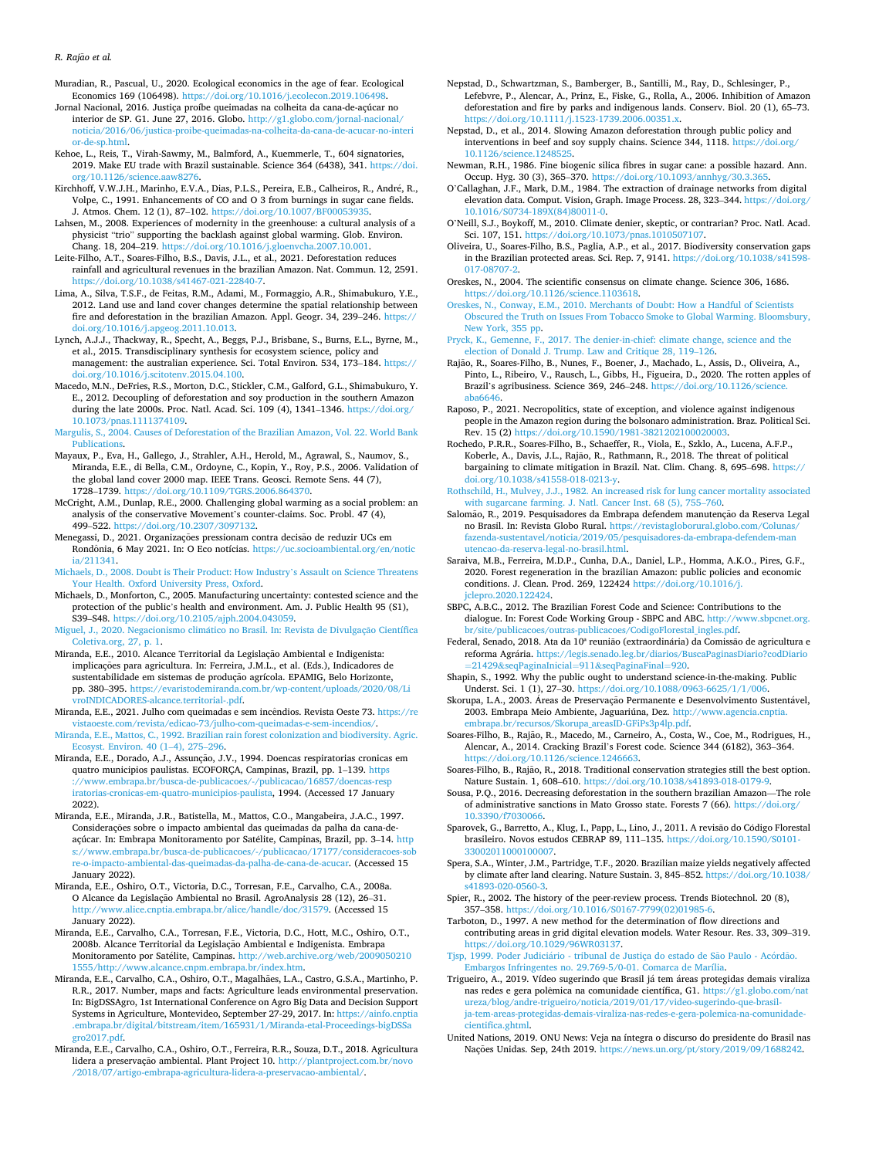<span id="page-9-0"></span>Muradian, R., Pascual, U., 2020. Ecological economics in the age of fear. Ecological Economics 169 (106498). <https://doi.org/10.1016/j.ecolecon.2019.106498>.

- Jornal Nacional, 2016. Justiça proíbe queimadas na colheita da cana-de-açúcar no interior de SP. G1. June 27, 2016. Globo. [http://g1.globo.com/jornal-nacional/](http://g1.globo.com/jornal-nacional/noticia/2016/06/justica-proibe-queimadas-na-colheita-da-cana-de-acucar-no-interior-de-sp.html)  [noticia/2016/06/justica-proibe-queimadas-na-colheita-da-cana-de-acucar-no-interi](http://g1.globo.com/jornal-nacional/noticia/2016/06/justica-proibe-queimadas-na-colheita-da-cana-de-acucar-no-interior-de-sp.html)  [or-de-sp.html](http://g1.globo.com/jornal-nacional/noticia/2016/06/justica-proibe-queimadas-na-colheita-da-cana-de-acucar-no-interior-de-sp.html).
- Kehoe, L., Reis, T., Virah-Sawmy, M., Balmford, A., Kuemmerle, T., 604 signatories, 2019. Make EU trade with Brazil sustainable. Science 364 (6438), 341. [https://doi.](https://doi.org/10.1126/science.aaw8276)
- [org/10.1126/science.aaw8276](https://doi.org/10.1126/science.aaw8276).<br>Kirchhoff, V.W.J.H., Marinho, E.V.A., Dias, P.L.S., Pereira, E.B., Calheiros, R., André, R., Volpe, C., 1991. Enhancements of CO and O 3 from burnings in sugar cane fields. J. Atmos. Chem. 12 (1), 87-102. https://doi.org/10.1007/BF0005393
- Lahsen, M., 2008. Experiences of modernity in the greenhouse: a cultural analysis of a physicist "trio" supporting the backlash against global warming. Glob. Environ. Chang. 18, 204–219. [https://doi.org/10.1016/j.gloenvcha.2007.10.001.](https://doi.org/10.1016/j.gloenvcha.2007.10.001)
- Leite-Filho, A.T., Soares-Filho, B.S., Davis, J.L., et al., 2021. Deforestation reduces rainfall and agricultural revenues in the brazilian Amazon. Nat. Commun. 12, 2591. <https://doi.org/10.1038/s41467-021-22840-7>.
- Lima, A., Silva, T.S.F., de Feitas, R.M., Adami, M., Formaggio, A.R., Shimabukuro, Y.E., 2012. Land use and land cover changes determine the spatial relationship between fire and deforestation in the brazilian Amazon. Appl. Geogr. 34, 239-246. https:// [doi.org/10.1016/j.apgeog.2011.10.013.](https://doi.org/10.1016/j.apgeog.2011.10.013)
- Lynch, A.J.J., Thackway, R., Specht, A., Beggs, P.J., Brisbane, S., Burns, E.L., Byrne, M., et al., 2015. Transdisciplinary synthesis for ecosystem science, policy and management: the australian experience. Sci. Total Environ. 534, 173–184. [https://](https://doi.org/10.1016/j.scitotenv.2015.04.100)  [doi.org/10.1016/j.scitotenv.2015.04.100.](https://doi.org/10.1016/j.scitotenv.2015.04.100)
- Macedo, M.N., DeFries, R.S., Morton, D.C., Stickler, C.M., Galford, G.L., Shimabukuro, Y. E., 2012. Decoupling of deforestation and soy production in the southern Amazon during the late 2000s. Proc. Natl. Acad. Sci. 109 (4), 1341–1346. https://doi.org/ [10.1073/pnas.1111374109.](https://doi.org/10.1073/pnas.1111374109)
- [Margulis, S., 2004. Causes of Deforestation of the Brazilian Amazon, Vol. 22. World Bank](http://refhub.elsevier.com/S0006-3207(21)00499-7/rf202201042332426065)  [Publications](http://refhub.elsevier.com/S0006-3207(21)00499-7/rf202201042332426065).
- Mayaux, P., Eva, H., Gallego, J., Strahler, A.H., Herold, M., Agrawal, S., Naumov, S., Miranda, E.E., di Bella, C.M., Ordoyne, C., Kopin, Y., Roy, P.S., 2006. Validation of the global land cover 2000 map. IEEE Trans. Geosci. Remote Sens. 44 (7), 1728–1739.<https://doi.org/10.1109/TGRS.2006.864370>.
- McCright, A.M., Dunlap, R.E., 2000. Challenging global warming as a social problem: an analysis of the conservative Movement's counter-claims. Soc. Probl. 47 (4), 499–522. <https://doi.org/10.2307/3097132>.
- Menegassi, D., 2021. Organizações pressionam contra decisão de reduzir UCs em Rondônia, 6 May 2021. In: O Eco notícias. https://uc.socioambiental.org/en/notic [ia/211341](https://uc.socioambiental.org/en/noticia/211341).
- [Michaels, D., 2008. Doubt is Their Product: How Industry](http://refhub.elsevier.com/S0006-3207(21)00499-7/rf202201042333075639)'s Assault on Science Threatens [Your Health. Oxford University Press, Oxford.](http://refhub.elsevier.com/S0006-3207(21)00499-7/rf202201042333075639)
- Michaels, D., Monforton, C., 2005. Manufacturing uncertainty: contested science and the protection of the public's health and environment. Am. J. Public Health 95 (S1), S39–S48. <https://doi.org/10.2105/ajph.2004.043059>.
- Miguel, J., 2020. Negacionismo climático no Brasil. In: Revista de Divulgação Científica [Coletiva.org, 27, p. 1.](http://refhub.elsevier.com/S0006-3207(21)00499-7/rf202201042337407591)
- Miranda, E.E., 2010. Alcance Territorial da Legislação Ambiental e Indigenista: implicações para agricultura. In: Ferreira, J.M.L., et al. (Eds.), Indicadores de sustentabilidade em sistemas de produção agrícola. EPAMIG, Belo Horizonte, pp. 380–395. [https://evaristodemiranda.com.br/wp-content/uploads/2020/08/Li](https://evaristodemiranda.com.br/wp-content/uploads/2020/08/LivroINDICADORES-alcance.territorial-.pdf)  [vroINDICADORES-alcance.territorial-.pdf](https://evaristodemiranda.com.br/wp-content/uploads/2020/08/LivroINDICADORES-alcance.territorial-.pdf).
- Miranda, E.E., 2021. Julho com queimadas e sem incêndios. Revista Oeste 73. https://re [vistaoeste.com/revista/edicao-73/julho-com-queimadas-e-sem-incendios/.](https://revistaoeste.com/revista/edicao-73/julho-com-queimadas-e-sem-incendios/)
- [Miranda, E.E., Mattos, C., 1992. Brazilian rain forest colonization and biodiversity. Agric.](http://refhub.elsevier.com/S0006-3207(21)00499-7/rf202201042351448533)  [Ecosyst. Environ. 40 \(1](http://refhub.elsevier.com/S0006-3207(21)00499-7/rf202201042351448533)–4), 275–296.
- Miranda, E.E., Dorado, A.J., Assunção, J.V., 1994. Doencas respiratorias cronicas em quatro municipios paulistas. ECOFORÇA, Campinas, Brazil, pp. 1–139. [https](https://www.embrapa.br/busca-de-publicacoes/-/publicacao/16857/doencas-respiratorias-cronicas-em-quatro-municipios-paulista) [://www.embrapa.br/busca-de-publicacoes/-/publicacao/16857/doencas-resp](https://www.embrapa.br/busca-de-publicacoes/-/publicacao/16857/doencas-respiratorias-cronicas-em-quatro-municipios-paulista)  [iratorias-cronicas-em-quatro-municipios-paulista,](https://www.embrapa.br/busca-de-publicacoes/-/publicacao/16857/doencas-respiratorias-cronicas-em-quatro-municipios-paulista) 1994. (Accessed 17 January 2022).
- Miranda, E.E., Miranda, J.R., Batistella, M., Mattos, C.O., Mangabeira, J.A.C., 1997. Considerações sobre o impacto ambiental das queimadas da palha da cana-deaçúcar. In: Embrapa Monitoramento por Satélite, Campinas, Brazil, pp. 3-14. http s://www.embrapa.br/busca-de-publicacoes/-/publicacao/17177/consideracoe [re-o-impacto-ambiental-das-queimadas-da-palha-de-cana-de-acucar](https://www.embrapa.br/busca-de-publicacoes/-/publicacao/17177/consideracoes-sobre-o-impacto-ambiental-das-queimadas-da-palha-de-cana-de-acucar). (Accessed 15 January 2022).
- Miranda, E.E., Oshiro, O.T., Victoria, D.C., Torresan, F.E., Carvalho, C.A., 2008a. O Alcance da Legislação Ambiental no Brasil. AgroAnalysis 28 (12), 26-31. <http://www.alice.cnptia.embrapa.br/alice/handle/doc/31579>. (Accessed 15 January 2022).
- Miranda, E.E., Carvalho, C.A., Torresan, F.E., Victoria, D.C., Hott, M.C., Oshiro, O.T., 2008b. Alcance Territorial da Legislação Ambiental e Indigenista. Embrapa Monitoramento por Satélite, Campinas. [http://web.archive.org/web/2009050210](http://web.archive.org/web/20090502101555/http://www.alcance.cnpm.embrapa.br/index.htm) [1555/http://www.alcance.cnpm.embrapa.br/index.htm.](http://web.archive.org/web/20090502101555/http://www.alcance.cnpm.embrapa.br/index.htm)
- Miranda, E.E., Carvalho, C.A., Oshiro, O.T., Magalhães, L.A., Castro, G.S.A., Martinho, P. R.R., 2017. Number, maps and facts: Agriculture leads environmental preservation. In: BigDSSAgro, 1st International Conference on Agro Big Data and Decision Support Systems in Agriculture, Montevideo, September 27-29, 2017. In: [https://ainfo.cnptia](https://ainfo.cnptia.embrapa.br/digital/bitstream/item/165931/1/Miranda-etal-Proceedings-bigDSSagro2017.pdf)  [.embrapa.br/digital/bitstream/item/165931/1/Miranda-etal-Proceedings-bigDSSa](https://ainfo.cnptia.embrapa.br/digital/bitstream/item/165931/1/Miranda-etal-Proceedings-bigDSSagro2017.pdf) [gro2017.pdf](https://ainfo.cnptia.embrapa.br/digital/bitstream/item/165931/1/Miranda-etal-Proceedings-bigDSSagro2017.pdf).
- Miranda, E.E., Carvalho, C.A., Oshiro, O.T., Ferreira, R.R., Souza, D.T., 2018. Agricultura lidera a preservação ambiental. Plant Project 10. [http://plantproject.com.br/novo](http://plantproject.com.br/novo/2018/07/artigo-embrapa-agricultura-lidera-a-preservacao-ambiental/) [/2018/07/artigo-embrapa-agricultura-lidera-a-preservacao-ambiental/.](http://plantproject.com.br/novo/2018/07/artigo-embrapa-agricultura-lidera-a-preservacao-ambiental/)
- Nepstad, D., Schwartzman, S., Bamberger, B., Santilli, M., Ray, D., Schlesinger, P., Lefebvre, P., Alencar, A., Prinz, E., Fiske, G., Rolla, A., 2006. Inhibition of Amazon deforestation and fire by parks and indigenous lands. Conserv. Biol. 20 (1), 65–73. [https://doi.org/10.1111/j.1523-1739.2006.00351.x.](https://doi.org/10.1111/j.1523-1739.2006.00351.x)
- Nepstad, D., et al., 2014. Slowing Amazon deforestation through public policy and interventions in beef and soy supply chains. Science 344, 1118. [https://doi.org/](https://doi.org/10.1126/science.1248525)  nce.124852
- Newman, R.H., 1986. Fine biogenic silica fibres in sugar cane: a possible hazard. Ann. Occup. Hyg. 30 (3), 365–370. [https://doi.org/10.1093/annhyg/30.3.365.](https://doi.org/10.1093/annhyg/30.3.365)
- O'Callaghan, J.F., Mark, D.M., 1984. The extraction of drainage networks from digital elevation data. Comput. Vision, Graph. Image Process. 28, 323–344. [https://doi.org/](https://doi.org/10.1016/S0734-189X(84)80011-0)  [10.1016/S0734-189X\(84\)80011-0](https://doi.org/10.1016/S0734-189X(84)80011-0).
- O'Neill, S.J., Boykoff, M., 2010. Climate denier, skeptic, or contrarian? Proc. Natl. Acad. Sci. 107, 151. <https://doi.org/10.1073/pnas.1010507107>.
- Oliveira, U., Soares-Filho, B.S., Paglia, A.P., et al., 2017. Biodiversity conservation gaps in the Brazilian protected areas. Sci. Rep. 7, 9141. https://doi.org/10.1038/s415 [017-08707-2.](https://doi.org/10.1038/s41598-017-08707-2)
- Oreskes, N., 2004. The scientific consensus on climate change. Science 306, 1686. [https://doi.org/10.1126/science.1103618.](https://doi.org/10.1126/science.1103618)
- [Oreskes, N., Conway, E.M., 2010. Merchants of Doubt: How a Handful of Scientists](http://refhub.elsevier.com/S0006-3207(21)00499-7/rf202201042335200748) [Obscured the Truth on Issues From Tobacco Smoke to Global Warming. Bloomsbury,](http://refhub.elsevier.com/S0006-3207(21)00499-7/rf202201042335200748)  [New York, 355 pp.](http://refhub.elsevier.com/S0006-3207(21)00499-7/rf202201042335200748)
- [Pryck, K., Gemenne, F., 2017. The denier-in-chief: climate change, science and the](http://refhub.elsevier.com/S0006-3207(21)00499-7/rf202201042336068690)  [election of Donald J. Trump. Law and Critique 28, 119](http://refhub.elsevier.com/S0006-3207(21)00499-7/rf202201042336068690)–126.
- Rajão, R., Soares-Filho, B., Nunes, F., Boener, J., Machado, L., Assis, D., Oliveira, A., Pinto, L., Ribeiro, V., Rausch, L., Gibbs, H., Figueira, D., 2020. The rotten apples of Brazil's agribusiness. Science 369, 246-248. [https://doi.org/10.1126/science.](https://doi.org/10.1126/science.aba6646) [aba6646.](https://doi.org/10.1126/science.aba6646)
- Raposo, P., 2021. Necropolitics, state of exception, and violence against indigenous people in the Amazon region during the bolsonaro administration. Braz. Political Sci. Rev. 15 (2) [https://doi.org/10.1590/1981-3821202100020003.](https://doi.org/10.1590/1981-3821202100020003)
- Rochedo, P.R.R., Soares-Filho, B., Schaeffer, R., Viola, E., Szklo, A., Lucena, A.F.P., Koberle, A., Davis, J.L., Rajão, R., Rathmann, R., 2018. The threat of political bargaining to climate mitigation in Brazil. Nat. Clim. Chang. 8, 695–698. [https://](https://doi.org/10.1038/s41558-018-0213-y) [doi.org/10.1038/s41558-018-0213-y](https://doi.org/10.1038/s41558-018-0213-y).
- [Rothschild, H., Mulvey, J.J., 1982. An increased risk for lung cancer mortality associated](http://refhub.elsevier.com/S0006-3207(21)00499-7/rf202201042351530459)  [with sugarcane farming. J. Natl. Cancer Inst. 68 \(5\), 755](http://refhub.elsevier.com/S0006-3207(21)00499-7/rf202201042351530459)–760.
- Salomão, R., 2019. Pesquisadores da Embrapa defendem manutenção da Reserva Legal no Brasil. In: Revista Globo Rural. [https://revistagloborural.globo.com/Colunas/](https://revistagloborural.globo.com/Colunas/fazenda-sustentavel/noticia/2019/05/pesquisadores-da-embrapa-defendem-manutencao-da-reserva-legal-no-brasil.html) [fazenda-sustentavel/noticia/2019/05/pesquisadores-da-embrapa-defendem-man](https://revistagloborural.globo.com/Colunas/fazenda-sustentavel/noticia/2019/05/pesquisadores-da-embrapa-defendem-manutencao-da-reserva-legal-no-brasil.html) [utencao-da-reserva-legal-no-brasil.html](https://revistagloborural.globo.com/Colunas/fazenda-sustentavel/noticia/2019/05/pesquisadores-da-embrapa-defendem-manutencao-da-reserva-legal-no-brasil.html).
- Saraiva, M.B., Ferreira, M.D.P., Cunha, D.A., Daniel, L.P., Homma, A.K.O., Pires, G.F., 2020. Forest regeneration in the brazilian Amazon: public policies and economic conditions. J. Clean. Prod. 269, 122424 [https://doi.org/10.1016/j.](https://doi.org/10.1016/j.jclepro.2020.122424) [jclepro.2020.122424](https://doi.org/10.1016/j.jclepro.2020.122424).
- SBPC, A.B.C., 2012. The Brazilian Forest Code and Science: Contributions to the dialogue. In: Forest Code Working Group - SBPC and ABC. [http://www.sbpcnet.org.](http://www.sbpcnet.org.br/site/publicacoes/outras-publicacoes/CodigoFlorestal_ingles.pdf)  [br/site/publicacoes/outras-publicacoes/CodigoFlorestal\\_ingles.pdf.](http://www.sbpcnet.org.br/site/publicacoes/outras-publicacoes/CodigoFlorestal_ingles.pdf)
- Federal, Senado, 2018. Ata da 10ª reunião (extraordinária) da Comissão de agricultura e reforma Agrária. https://legis.senado.leg.br/diarios/BuscaPaginasDiario?codDiario =21429&[seqPaginaInicial](https://legis.senado.leg.br/diarios/BuscaPaginasDiario?codDiario=21429&seqPaginaInicial=911&seqPaginaFinal=920)=911&seqPaginaFinal=920.
- Shapin, S., 1992. Why the public ought to understand science-in-the-making. Public Underst. Sci. 1 (1), 27–30. [https://doi.org/10.1088/0963-6625/1/1/006.](https://doi.org/10.1088/0963-6625/1/1/006)
- Skorupa, L.A., 2003. Áreas de Preservação Permanente e Desenvolvimento Sustentável, 2003. Embrapa Meio Ambiente, Jaguariúna, Dez. [http://www.agencia.cnptia.](http://www.agencia.cnptia.embrapa.br/recursos/Skorupa_areasID-GFiPs3p4lp.pdf) [embrapa.br/recursos/Skorupa\\_areasID-GFiPs3p4lp.pdf](http://www.agencia.cnptia.embrapa.br/recursos/Skorupa_areasID-GFiPs3p4lp.pdf).
- Soares-Filho, B., Rajão, R., Macedo, M., Carneiro, A., Costa, W., Coe, M., Rodrigues, H., Alencar, A., 2014. Cracking Brazil's Forest code. Science 344 (6182), 363–364. [https://doi.org/10.1126/science.1246663.](https://doi.org/10.1126/science.1246663)
- Soares-Filho, B., Rajão, R., 2018. Traditional conservation strategies still the best option. Nature Sustain. 1, 608–610. [https://doi.org/10.1038/s41893-018-0179-9.](https://doi.org/10.1038/s41893-018-0179-9)
- Sousa, P.Q., 2016. Decreasing deforestation in the southern brazilian Amazon—The role of administrative sanctions in Mato Grosso state. Forests 7 (66). [https://doi.org/](https://doi.org/10.3390/f7030066)  [10.3390/f7030066](https://doi.org/10.3390/f7030066).
- Sparovek, G., Barretto, A., Klug, I., Papp, L., Lino, J., 2011. A revisão do Código Florestal brasileiro. Novos estudos CEBRAP 89, 111–135. [https://doi.org/10.1590/S0101-](https://doi.org/10.1590/S0101-33002011000100007)  [33002011000100007.](https://doi.org/10.1590/S0101-33002011000100007)
- Spera, S.A., Winter, J.M., Partridge, T.F., 2020. Brazilian maize yields negatively affected by climate after land clearing. Nature Sustain. 3, 845–852. [https://doi.org/10.1038/](https://doi.org/10.1038/s41893-020-0560-3)  [s41893-020-0560-3.](https://doi.org/10.1038/s41893-020-0560-3)
- Spier, R., 2002. The history of the peer-review process. Trends Biotechnol. 20 (8), 357–358. [https://doi.org/10.1016/S0167-7799\(02\)01985-6.](https://doi.org/10.1016/S0167-7799(02)01985-6)

Tarboton, D., 1997. A new method for the determination of flow directions and contributing areas in grid digital elevation models. Water Resour. Res. 33, 309–319. [https://doi.org/10.1029/96WR03137.](https://doi.org/10.1029/96WR03137)

Tjsp, 1999. Poder Judiciário - tribunal de Justiça do estado de São Paulo - Acórdão. [Embargos Infringentes no. 29.769-5/0-01. Comarca de Marília.](http://refhub.elsevier.com/S0006-3207(21)00499-7/rf202201042337312440)

- Trigueiro, A., 2019. Vídeo sugerindo que Brasil já tem áreas protegidas demais viraliza nas redes e gera polêmica na comunidade científica, G1. [https://g1.globo.com/nat](https://g1.globo.com/natureza/blog/andre-trigueiro/noticia/2019/01/17/video-sugerindo-que-brasil-ja-tem-areas-protegidas-demais-viraliza-nas-redes-e-gera-polemica-na-comunidade-cientifica.ghtml) [ureza/blog/andre-trigueiro/noticia/2019/01/17/video-sugerindo-que-brasil](https://g1.globo.com/natureza/blog/andre-trigueiro/noticia/2019/01/17/video-sugerindo-que-brasil-ja-tem-areas-protegidas-demais-viraliza-nas-redes-e-gera-polemica-na-comunidade-cientifica.ghtml)[ja-tem-areas-protegidas-demais-viraliza-nas-redes-e-gera-polemica-na-comunidade](https://g1.globo.com/natureza/blog/andre-trigueiro/noticia/2019/01/17/video-sugerindo-que-brasil-ja-tem-areas-protegidas-demais-viraliza-nas-redes-e-gera-polemica-na-comunidade-cientifica.ghtml)[cientifica.ghtml.](https://g1.globo.com/natureza/blog/andre-trigueiro/noticia/2019/01/17/video-sugerindo-que-brasil-ja-tem-areas-protegidas-demais-viraliza-nas-redes-e-gera-polemica-na-comunidade-cientifica.ghtml)
- United Nations, 2019. ONU News: Veja na íntegra o discurso do presidente do Brasil nas Nações Unidas. Sep, 24th 2019. [https://news.un.org/pt/story/2019/09/1688242.](https://news.un.org/pt/story/2019/09/1688242)